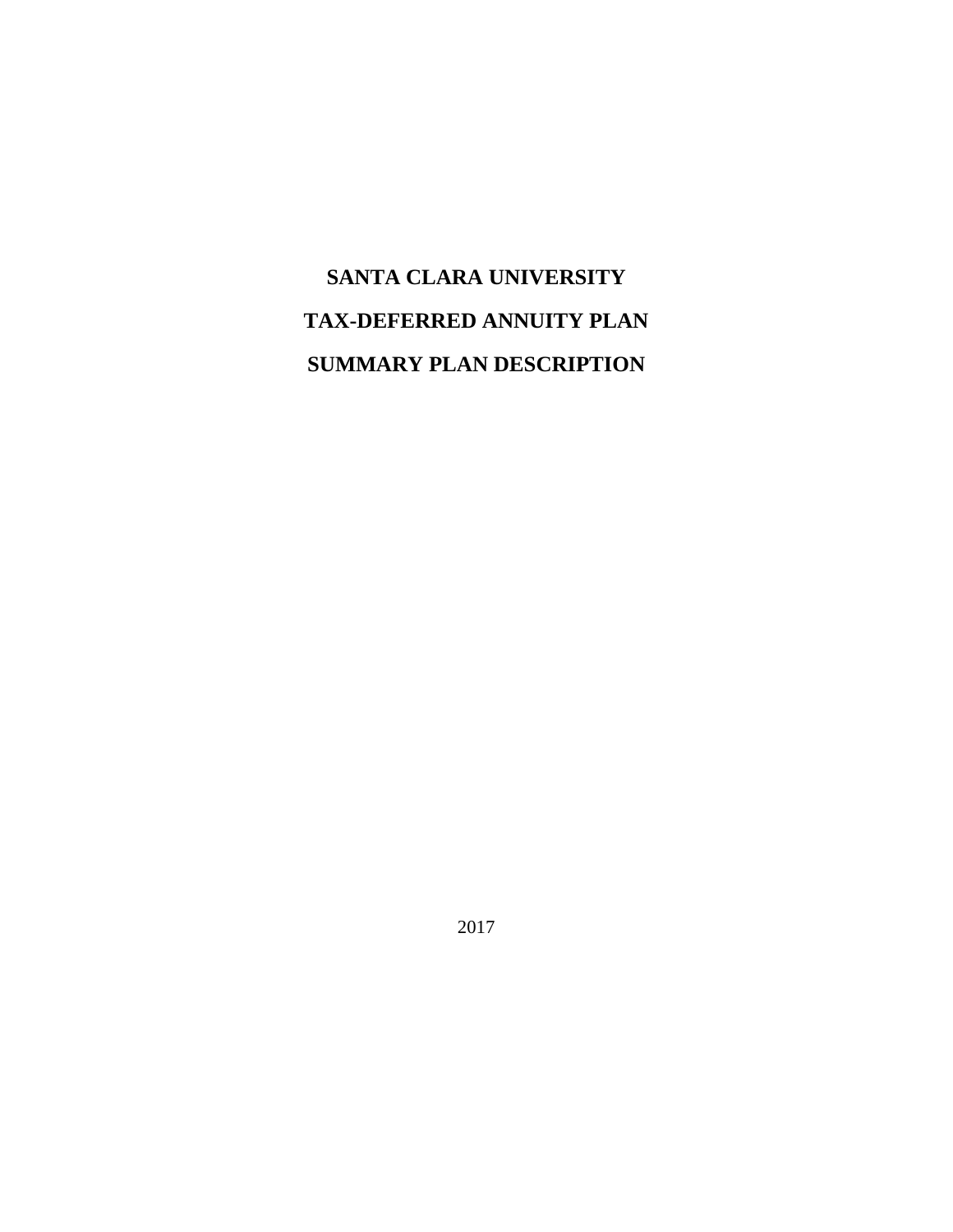# **SANTA CLARA UNIVERSITY TAX-DEFERRED ANNUITY PLAN SUMMARY PLAN DESCRIPTION**

2017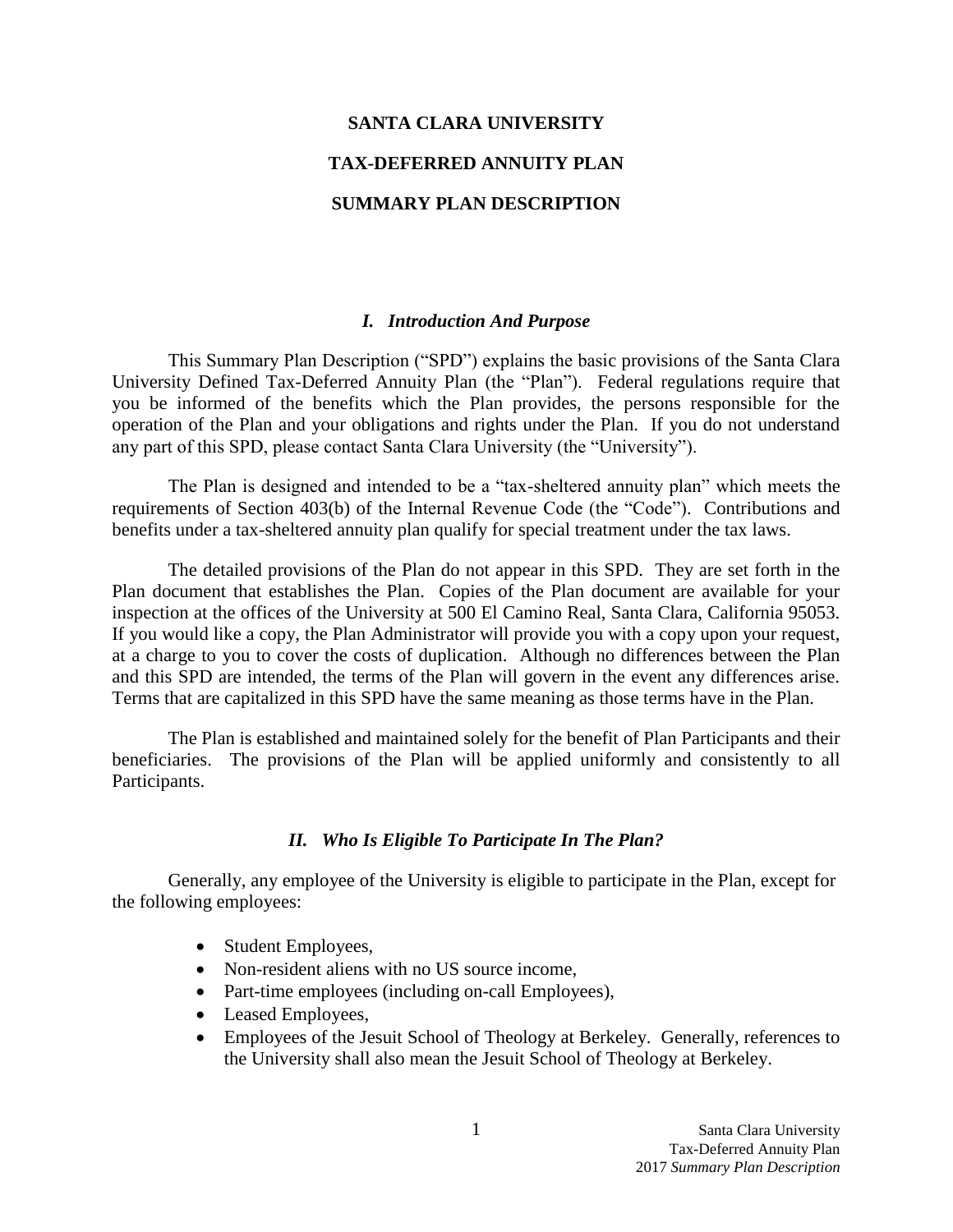# **SANTA CLARA UNIVERSITY TAX-DEFERRED ANNUITY PLAN SUMMARY PLAN DESCRIPTION**

#### <span id="page-1-0"></span>*I. Introduction And Purpose*

This Summary Plan Description ("SPD") explains the basic provisions of the Santa Clara University Defined Tax-Deferred Annuity Plan (the "Plan"). Federal regulations require that you be informed of the benefits which the Plan provides, the persons responsible for the operation of the Plan and your obligations and rights under the Plan. If you do not understand any part of this SPD, please contact Santa Clara University (the "University").

The Plan is designed and intended to be a "tax-sheltered annuity plan" which meets the requirements of Section 403(b) of the Internal Revenue Code (the "Code"). Contributions and benefits under a tax-sheltered annuity plan qualify for special treatment under the tax laws.

The detailed provisions of the Plan do not appear in this SPD. They are set forth in the Plan document that establishes the Plan. Copies of the Plan document are available for your inspection at the offices of the University at 500 El Camino Real, Santa Clara, California 95053. If you would like a copy, the Plan Administrator will provide you with a copy upon your request, at a charge to you to cover the costs of duplication. Although no differences between the Plan and this SPD are intended, the terms of the Plan will govern in the event any differences arise. Terms that are capitalized in this SPD have the same meaning as those terms have in the Plan.

The Plan is established and maintained solely for the benefit of Plan Participants and their beneficiaries. The provisions of the Plan will be applied uniformly and consistently to all Participants.

## <span id="page-1-1"></span>*II. Who Is Eligible To Participate In The Plan?*

Generally, any employee of the University is eligible to participate in the Plan, except for the following employees:

- Student Employees,
- Non-resident aliens with no US source income,
- Part-time employees (including on-call Employees),
- Leased Employees,
- Employees of the Jesuit School of Theology at Berkeley. Generally, references to the University shall also mean the Jesuit School of Theology at Berkeley.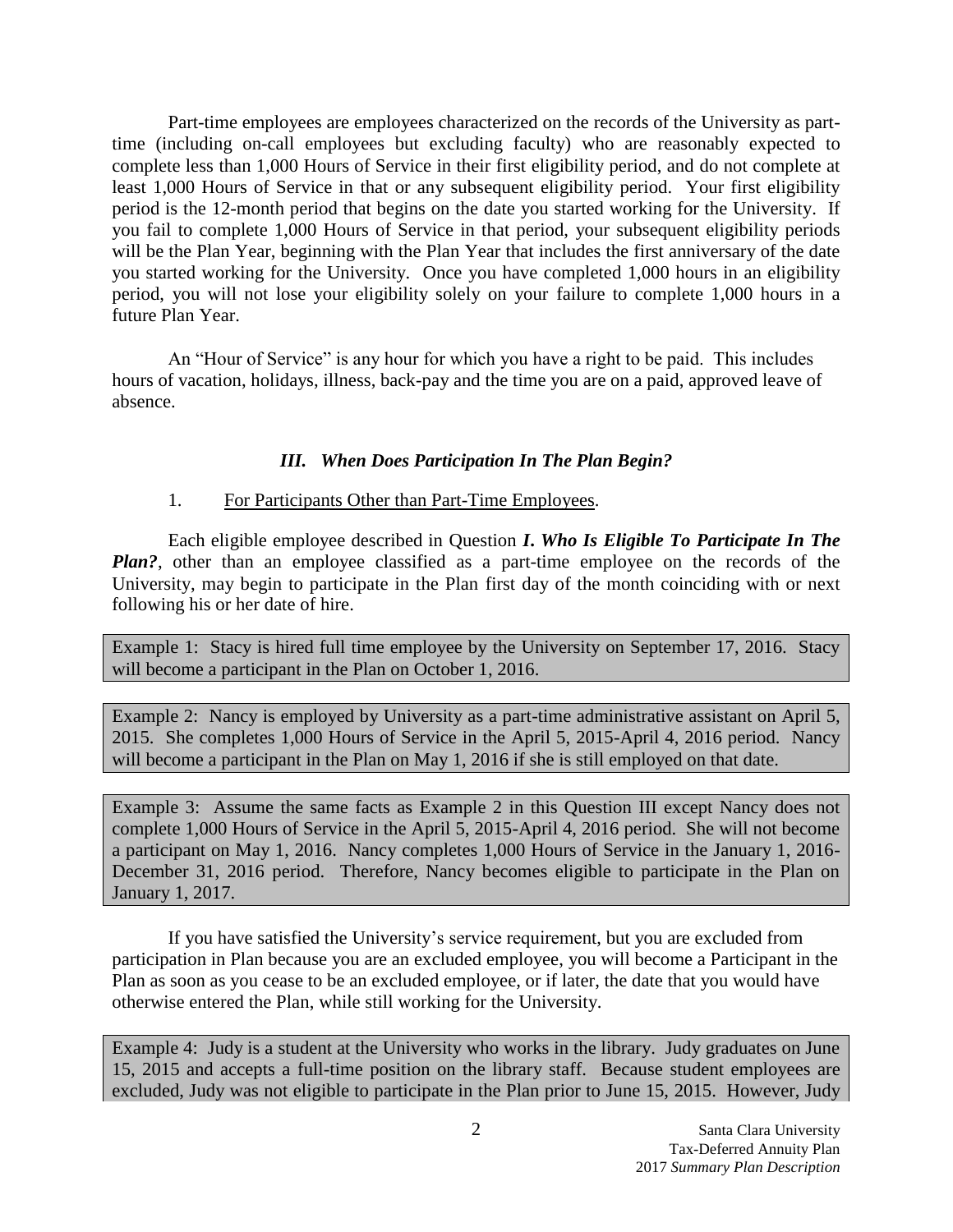Part-time employees are employees characterized on the records of the University as parttime (including on-call employees but excluding faculty) who are reasonably expected to complete less than 1,000 Hours of Service in their first eligibility period, and do not complete at least 1,000 Hours of Service in that or any subsequent eligibility period. Your first eligibility period is the 12-month period that begins on the date you started working for the University. If you fail to complete 1,000 Hours of Service in that period, your subsequent eligibility periods will be the Plan Year, beginning with the Plan Year that includes the first anniversary of the date you started working for the University. Once you have completed 1,000 hours in an eligibility period, you will not lose your eligibility solely on your failure to complete 1,000 hours in a future Plan Year.

An "Hour of Service" is any hour for which you have a right to be paid. This includes hours of vacation, holidays, illness, back-pay and the time you are on a paid, approved leave of absence.

## <span id="page-2-0"></span>*III. When Does Participation In The Plan Begin?*

## 1. For Participants Other than Part-Time Employees.

Each eligible employee described in Question *I***.** *Who Is Eligible To Participate In The Plan?*, other than an employee classified as a part-time employee on the records of the University, may begin to participate in the Plan first day of the month coinciding with or next following his or her date of hire.

Example 1: Stacy is hired full time employee by the University on September 17, 2016. Stacy will become a participant in the Plan on October 1, 2016.

Example 2: Nancy is employed by University as a part-time administrative assistant on April 5, 2015. She completes 1,000 Hours of Service in the April 5, 2015-April 4, 2016 period. Nancy will become a participant in the Plan on May 1, 2016 if she is still employed on that date.

Example 3: Assume the same facts as Example 2 in this Question III except Nancy does not complete 1,000 Hours of Service in the April 5, 2015-April 4, 2016 period. She will not become a participant on May 1, 2016. Nancy completes 1,000 Hours of Service in the January 1, 2016- December 31, 2016 period. Therefore, Nancy becomes eligible to participate in the Plan on January 1, 2017.

If you have satisfied the University's service requirement, but you are excluded from participation in Plan because you are an excluded employee, you will become a Participant in the Plan as soon as you cease to be an excluded employee, or if later, the date that you would have otherwise entered the Plan, while still working for the University.

Example 4: Judy is a student at the University who works in the library. Judy graduates on June 15, 2015 and accepts a full-time position on the library staff. Because student employees are excluded, Judy was not eligible to participate in the Plan prior to June 15, 2015. However, Judy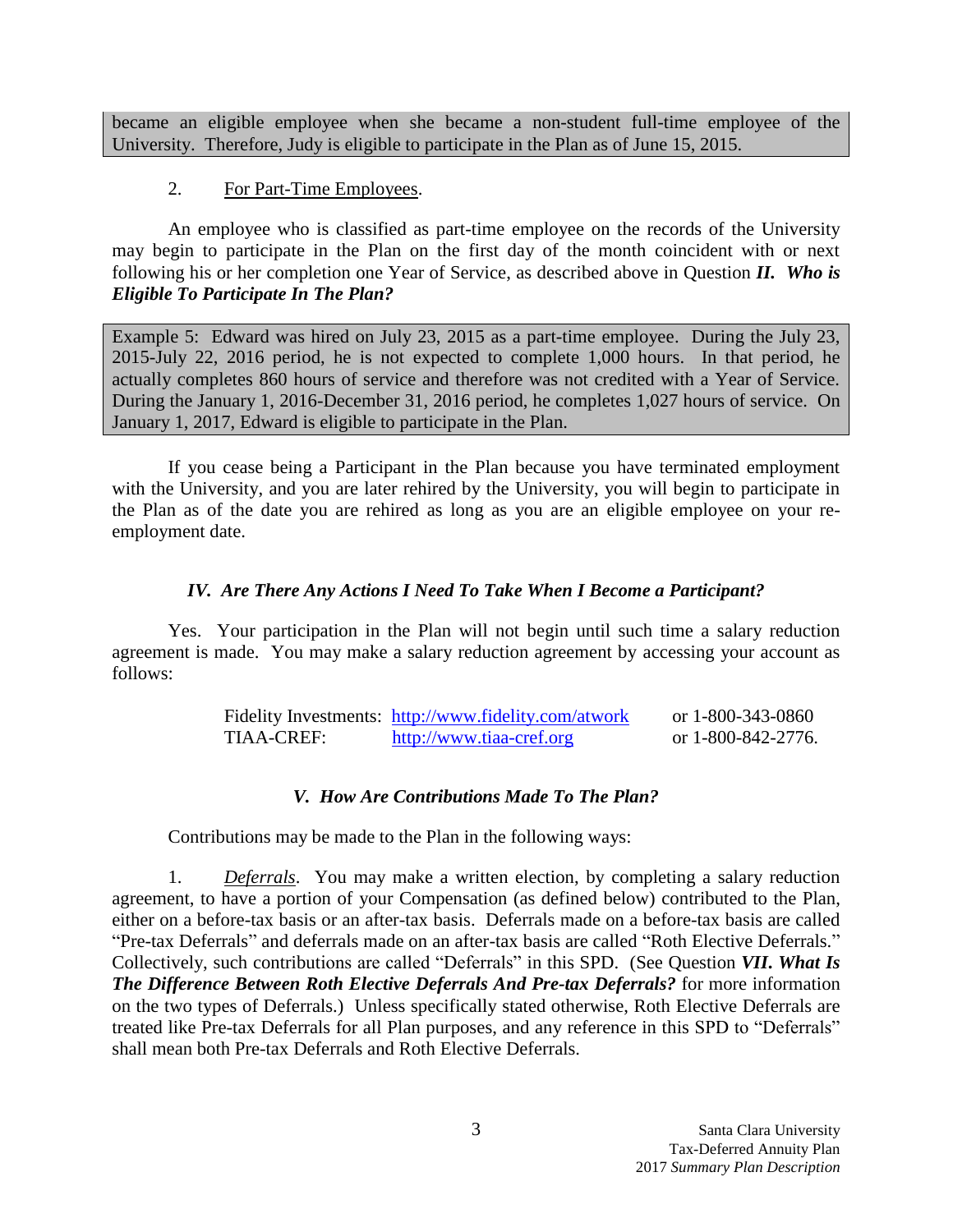became an eligible employee when she became a non-student full-time employee of the University. Therefore, Judy is eligible to participate in the Plan as of June 15, 2015.

# 2. For Part-Time Employees.

An employee who is classified as part-time employee on the records of the University may begin to participate in the Plan on the first day of the month coincident with or next following his or her completion one Year of Service, as described above in Question *II. Who is Eligible To Participate In The Plan?*

Example 5: Edward was hired on July 23, 2015 as a part-time employee. During the July 23, 2015-July 22, 2016 period, he is not expected to complete 1,000 hours. In that period, he actually completes 860 hours of service and therefore was not credited with a Year of Service. During the January 1, 2016-December 31, 2016 period, he completes 1,027 hours of service. On January 1, 2017, Edward is eligible to participate in the Plan.

If you cease being a Participant in the Plan because you have terminated employment with the University, and you are later rehired by the University, you will begin to participate in the Plan as of the date you are rehired as long as you are an eligible employee on your reemployment date.

# <span id="page-3-0"></span>*IV. Are There Any Actions I Need To Take When I Become a Participant?*

Yes. Your participation in the Plan will not begin until such time a salary reduction agreement is made. You may make a salary reduction agreement by accessing your account as follows:

|            | Fidelity Investments: http://www.fidelity.com/atwork | or 1-800-343-0860  |
|------------|------------------------------------------------------|--------------------|
| TIAA-CREF: | http://www.tiaa-cref.org                             | or 1-800-842-2776. |

# <span id="page-3-1"></span>*V. How Are Contributions Made To The Plan?*

Contributions may be made to the Plan in the following ways:

1. *Deferrals*. You may make a written election, by completing a salary reduction agreement, to have a portion of your Compensation (as defined below) contributed to the Plan, either on a before-tax basis or an after-tax basis. Deferrals made on a before-tax basis are called "Pre-tax Deferrals" and deferrals made on an after-tax basis are called "Roth Elective Deferrals." Collectively, such contributions are called "Deferrals" in this SPD. (See Question *VII***.** *What Is The Difference Between Roth Elective Deferrals And Pre-tax Deferrals?* for more information on the two types of Deferrals.) Unless specifically stated otherwise, Roth Elective Deferrals are treated like Pre-tax Deferrals for all Plan purposes, and any reference in this SPD to "Deferrals" shall mean both Pre-tax Deferrals and Roth Elective Deferrals.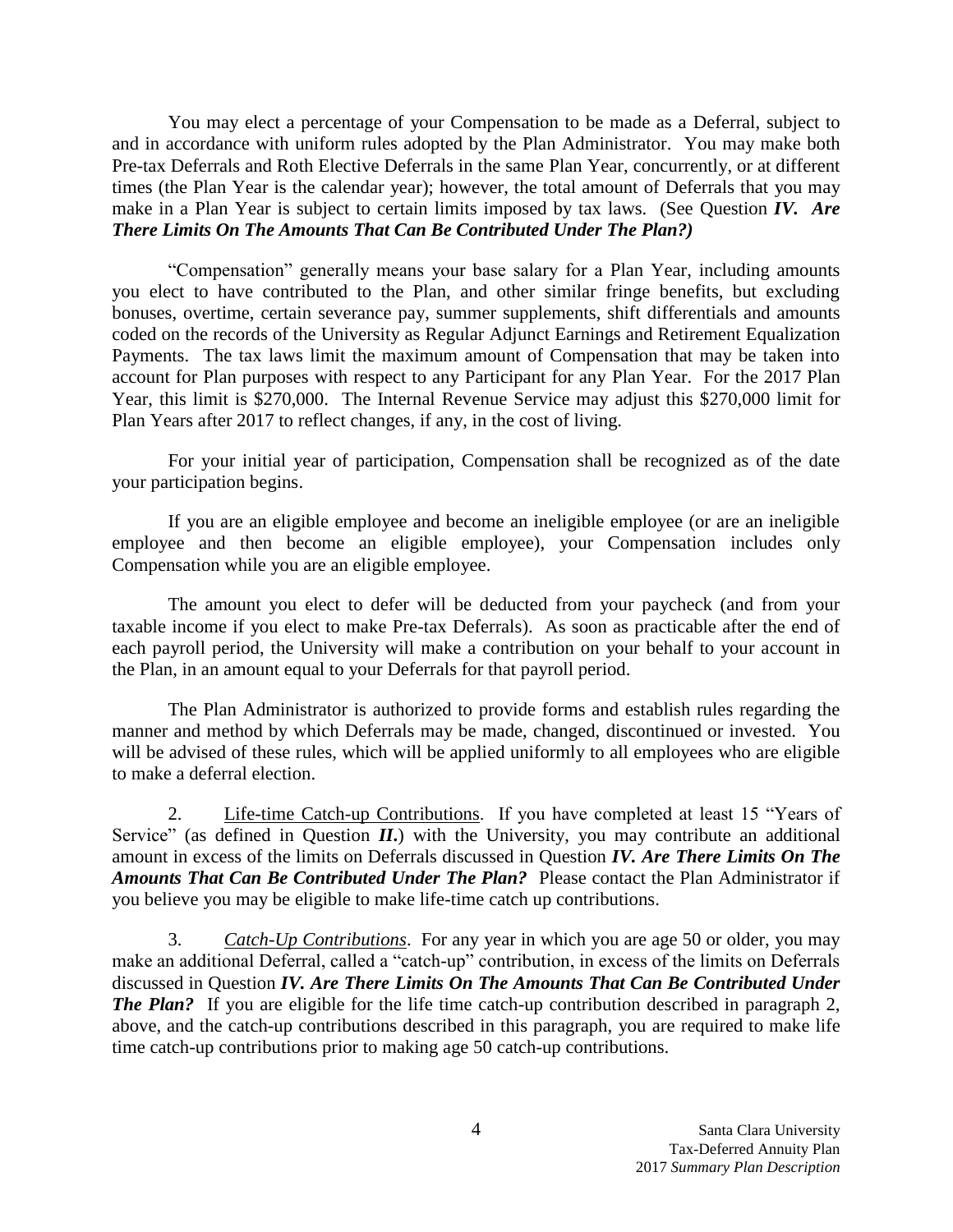You may elect a percentage of your Compensation to be made as a Deferral, subject to and in accordance with uniform rules adopted by the Plan Administrator. You may make both Pre-tax Deferrals and Roth Elective Deferrals in the same Plan Year, concurrently, or at different times (the Plan Year is the calendar year); however, the total amount of Deferrals that you may make in a Plan Year is subject to certain limits imposed by tax laws. (See Question *IV. Are There Limits On The Amounts That Can Be Contributed Under The Plan?)*

"Compensation" generally means your base salary for a Plan Year, including amounts you elect to have contributed to the Plan, and other similar fringe benefits, but excluding bonuses, overtime, certain severance pay, summer supplements, shift differentials and amounts coded on the records of the University as Regular Adjunct Earnings and Retirement Equalization Payments. The tax laws limit the maximum amount of Compensation that may be taken into account for Plan purposes with respect to any Participant for any Plan Year. For the 2017 Plan Year, this limit is \$270,000. The Internal Revenue Service may adjust this \$270,000 limit for Plan Years after 2017 to reflect changes, if any, in the cost of living.

For your initial year of participation, Compensation shall be recognized as of the date your participation begins.

If you are an eligible employee and become an ineligible employee (or are an ineligible employee and then become an eligible employee), your Compensation includes only Compensation while you are an eligible employee.

The amount you elect to defer will be deducted from your paycheck (and from your taxable income if you elect to make Pre-tax Deferrals). As soon as practicable after the end of each payroll period, the University will make a contribution on your behalf to your account in the Plan, in an amount equal to your Deferrals for that payroll period.

The Plan Administrator is authorized to provide forms and establish rules regarding the manner and method by which Deferrals may be made, changed, discontinued or invested. You will be advised of these rules, which will be applied uniformly to all employees who are eligible to make a deferral election.

2. Life-time Catch-up Contributions. If you have completed at least 15 "Years of Service" (as defined in Question *II*.) with the University, you may contribute an additional amount in excess of the limits on Deferrals discussed in Question *IV. Are There Limits On The Amounts That Can Be Contributed Under The Plan?* Please contact the Plan Administrator if you believe you may be eligible to make life-time catch up contributions.

3. *Catch-Up Contributions*. For any year in which you are age 50 or older, you may make an additional Deferral, called a "catch-up" contribution, in excess of the limits on Deferrals discussed in Question *IV. Are There Limits On The Amounts That Can Be Contributed Under The Plan?* If you are eligible for the life time catch-up contribution described in paragraph 2, above, and the catch-up contributions described in this paragraph, you are required to make life time catch-up contributions prior to making age 50 catch-up contributions.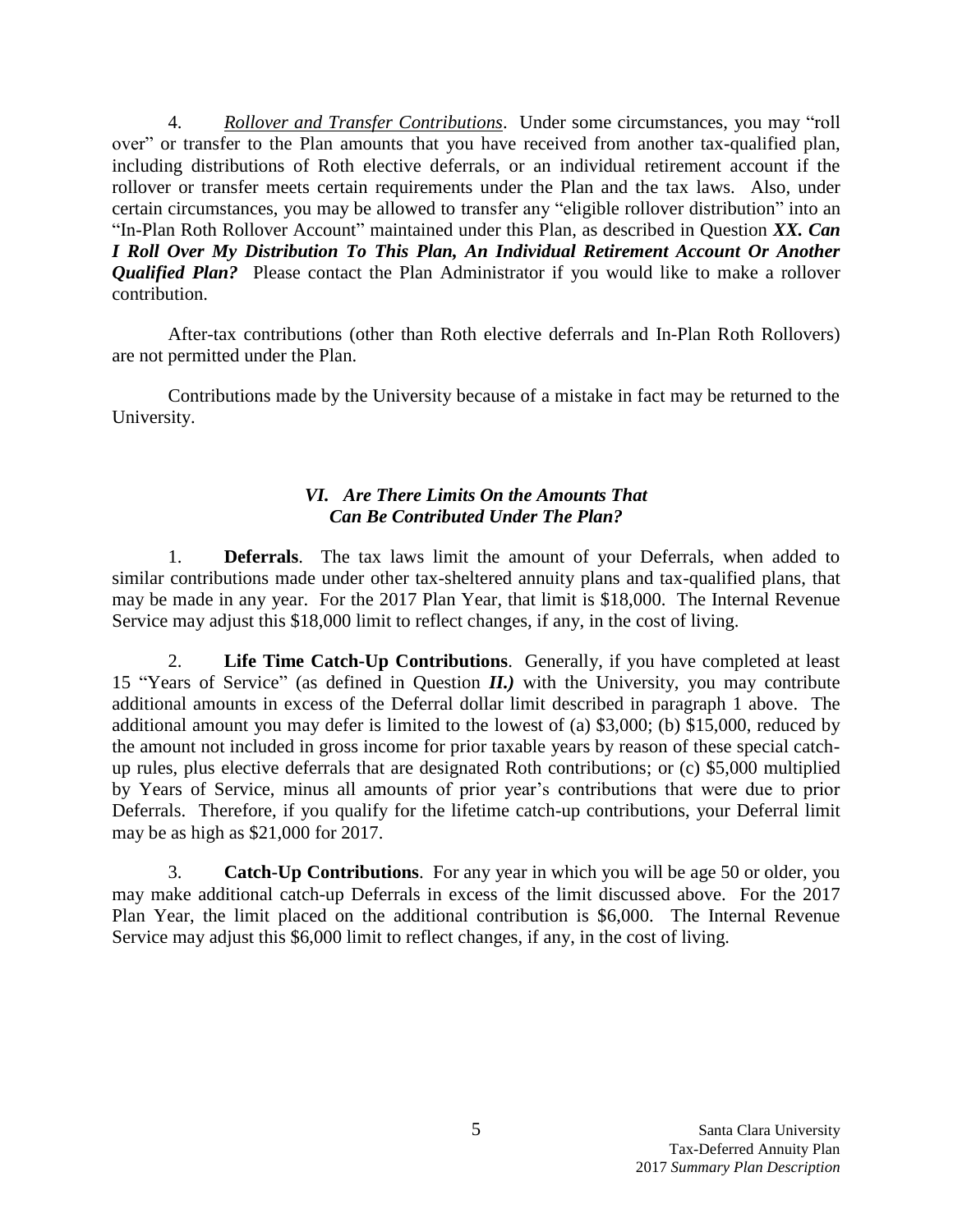4. *Rollover and Transfer Contributions*. Under some circumstances, you may "roll over" or transfer to the Plan amounts that you have received from another tax-qualified plan, including distributions of Roth elective deferrals, or an individual retirement account if the rollover or transfer meets certain requirements under the Plan and the tax laws. Also, under certain circumstances, you may be allowed to transfer any "eligible rollover distribution" into an "In-Plan Roth Rollover Account" maintained under this Plan, as described in Question *XX. Can I Roll Over My Distribution To This Plan, An Individual Retirement Account Or Another Qualified Plan?* Please contact the Plan Administrator if you would like to make a rollover contribution.

After-tax contributions (other than Roth elective deferrals and In-Plan Roth Rollovers) are not permitted under the Plan.

Contributions made by the University because of a mistake in fact may be returned to the University.

# <span id="page-5-0"></span>*VI. Are There Limits On the Amounts That Can Be Contributed Under The Plan?*

1. **Deferrals**. The tax laws limit the amount of your Deferrals, when added to similar contributions made under other tax-sheltered annuity plans and tax-qualified plans, that may be made in any year. For the 2017 Plan Year, that limit is \$18,000. The Internal Revenue Service may adjust this \$18,000 limit to reflect changes, if any, in the cost of living.

2. **Life Time Catch-Up Contributions**. Generally, if you have completed at least 15 "Years of Service" (as defined in Question *II.)* with the University, you may contribute additional amounts in excess of the Deferral dollar limit described in paragraph 1 above. The additional amount you may defer is limited to the lowest of (a) \$3,000; (b) \$15,000, reduced by the amount not included in gross income for prior taxable years by reason of these special catchup rules, plus elective deferrals that are designated Roth contributions; or (c) \$5,000 multiplied by Years of Service, minus all amounts of prior year's contributions that were due to prior Deferrals. Therefore, if you qualify for the lifetime catch-up contributions, your Deferral limit may be as high as \$21,000 for 2017.

3. **Catch-Up Contributions**. For any year in which you will be age 50 or older, you may make additional catch-up Deferrals in excess of the limit discussed above. For the 2017 Plan Year, the limit placed on the additional contribution is \$6,000. The Internal Revenue Service may adjust this \$6,000 limit to reflect changes, if any, in the cost of living.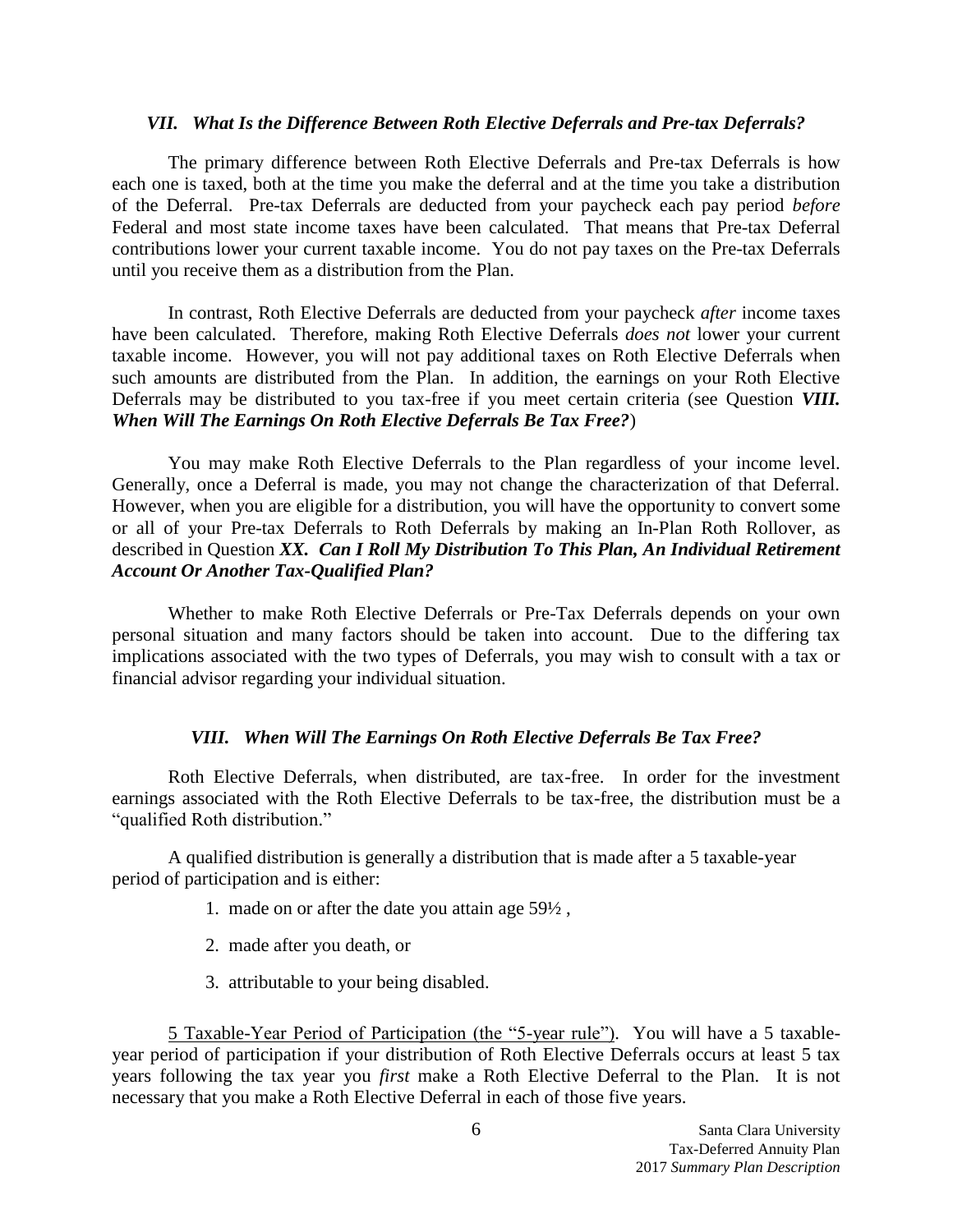#### <span id="page-6-0"></span>*VII. What Is the Difference Between Roth Elective Deferrals and Pre-tax Deferrals?*

The primary difference between Roth Elective Deferrals and Pre-tax Deferrals is how each one is taxed, both at the time you make the deferral and at the time you take a distribution of the Deferral. Pre-tax Deferrals are deducted from your paycheck each pay period *before* Federal and most state income taxes have been calculated. That means that Pre-tax Deferral contributions lower your current taxable income. You do not pay taxes on the Pre-tax Deferrals until you receive them as a distribution from the Plan.

In contrast, Roth Elective Deferrals are deducted from your paycheck *after* income taxes have been calculated. Therefore, making Roth Elective Deferrals *does not* lower your current taxable income. However, you will not pay additional taxes on Roth Elective Deferrals when such amounts are distributed from the Plan. In addition, the earnings on your Roth Elective Deferrals may be distributed to you tax-free if you meet certain criteria (see Question *VIII. When Will The Earnings On Roth Elective Deferrals Be Tax Free?*)

You may make Roth Elective Deferrals to the Plan regardless of your income level. Generally, once a Deferral is made, you may not change the characterization of that Deferral. However, when you are eligible for a distribution, you will have the opportunity to convert some or all of your Pre-tax Deferrals to Roth Deferrals by making an In-Plan Roth Rollover, as described in Question *XX. Can I Roll My Distribution To This Plan, An Individual Retirement Account Or Another Tax-Qualified Plan?*

Whether to make Roth Elective Deferrals or Pre-Tax Deferrals depends on your own personal situation and many factors should be taken into account. Due to the differing tax implications associated with the two types of Deferrals, you may wish to consult with a tax or financial advisor regarding your individual situation.

## <span id="page-6-1"></span>*VIII. When Will The Earnings On Roth Elective Deferrals Be Tax Free?*

Roth Elective Deferrals, when distributed, are tax-free. In order for the investment earnings associated with the Roth Elective Deferrals to be tax-free, the distribution must be a "qualified Roth distribution."

A qualified distribution is generally a distribution that is made after a 5 taxable-year period of participation and is either:

- 1. made on or after the date you attain age 59½ ,
- 2. made after you death, or
- 3. attributable to your being disabled.

5 Taxable-Year Period of Participation (the "5-year rule"). You will have a 5 taxableyear period of participation if your distribution of Roth Elective Deferrals occurs at least 5 tax years following the tax year you *first* make a Roth Elective Deferral to the Plan. It is not necessary that you make a Roth Elective Deferral in each of those five years.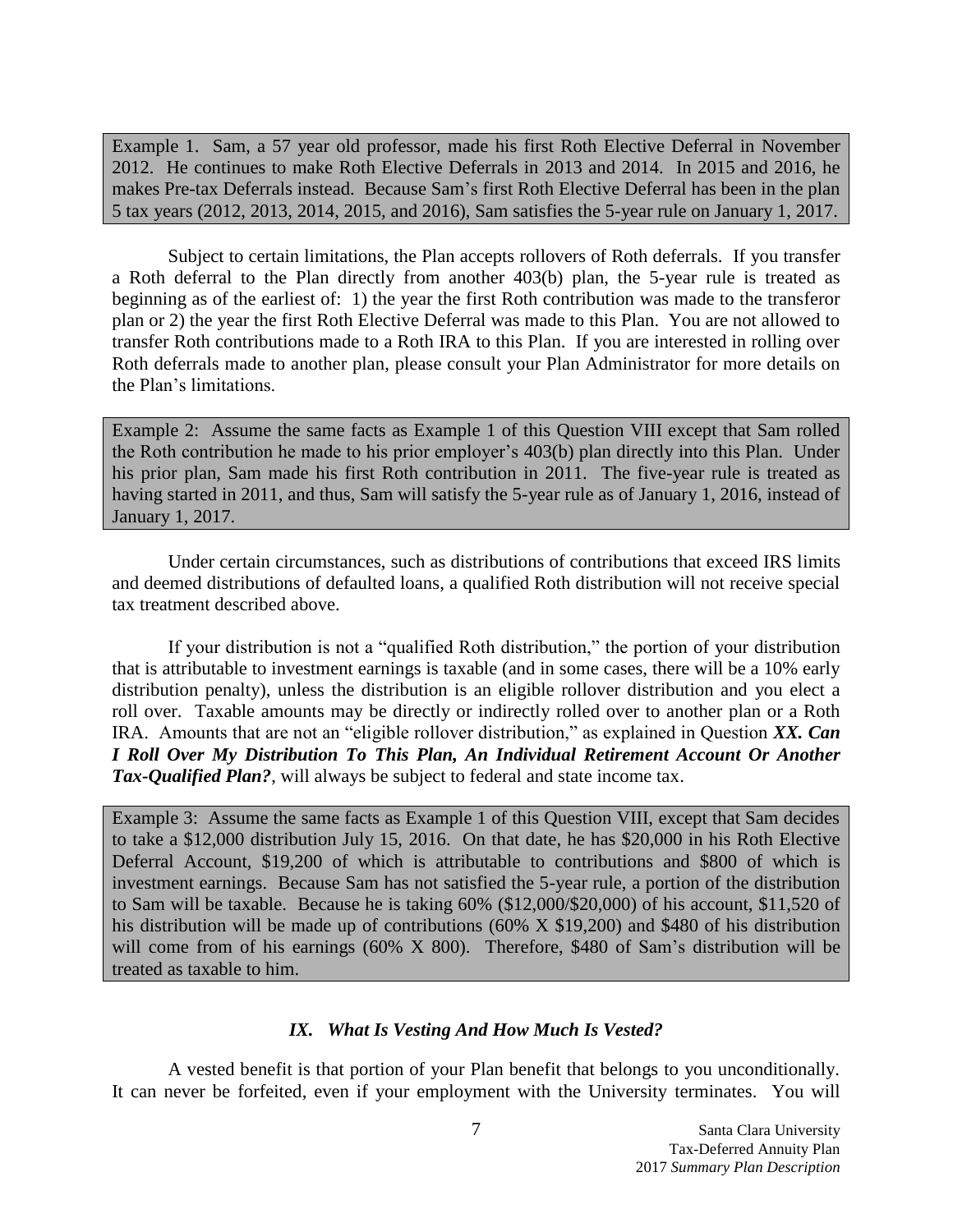Example 1. Sam, a 57 year old professor, made his first Roth Elective Deferral in November 2012. He continues to make Roth Elective Deferrals in 2013 and 2014. In 2015 and 2016, he makes Pre-tax Deferrals instead. Because Sam's first Roth Elective Deferral has been in the plan 5 tax years (2012, 2013, 2014, 2015, and 2016), Sam satisfies the 5-year rule on January 1, 2017.

Subject to certain limitations, the Plan accepts rollovers of Roth deferrals. If you transfer a Roth deferral to the Plan directly from another 403(b) plan, the 5-year rule is treated as beginning as of the earliest of: 1) the year the first Roth contribution was made to the transferor plan or 2) the year the first Roth Elective Deferral was made to this Plan. You are not allowed to transfer Roth contributions made to a Roth IRA to this Plan. If you are interested in rolling over Roth deferrals made to another plan, please consult your Plan Administrator for more details on the Plan's limitations.

Example 2: Assume the same facts as Example 1 of this Question VIII except that Sam rolled the Roth contribution he made to his prior employer's 403(b) plan directly into this Plan. Under his prior plan, Sam made his first Roth contribution in 2011. The five-year rule is treated as having started in 2011, and thus, Sam will satisfy the 5-year rule as of January 1, 2016, instead of January 1, 2017.

Under certain circumstances, such as distributions of contributions that exceed IRS limits and deemed distributions of defaulted loans, a qualified Roth distribution will not receive special tax treatment described above.

If your distribution is not a "qualified Roth distribution," the portion of your distribution that is attributable to investment earnings is taxable (and in some cases, there will be a 10% early distribution penalty), unless the distribution is an eligible rollover distribution and you elect a roll over. Taxable amounts may be directly or indirectly rolled over to another plan or a Roth IRA. Amounts that are not an "eligible rollover distribution," as explained in Question *XX. Can I Roll Over My Distribution To This Plan, An Individual Retirement Account Or Another Tax-Qualified Plan?*, will always be subject to federal and state income tax.

Example 3: Assume the same facts as Example 1 of this Question VIII, except that Sam decides to take a \$12,000 distribution July 15, 2016. On that date, he has \$20,000 in his Roth Elective Deferral Account, \$19,200 of which is attributable to contributions and \$800 of which is investment earnings. Because Sam has not satisfied the 5-year rule, a portion of the distribution to Sam will be taxable. Because he is taking 60% (\$12,000/\$20,000) of his account, \$11,520 of his distribution will be made up of contributions (60% X \$19,200) and \$480 of his distribution will come from of his earnings (60% X 800). Therefore, \$480 of Sam's distribution will be treated as taxable to him.

# <span id="page-7-0"></span>*IX. What Is Vesting And How Much Is Vested?*

A vested benefit is that portion of your Plan benefit that belongs to you unconditionally. It can never be forfeited, even if your employment with the University terminates. You will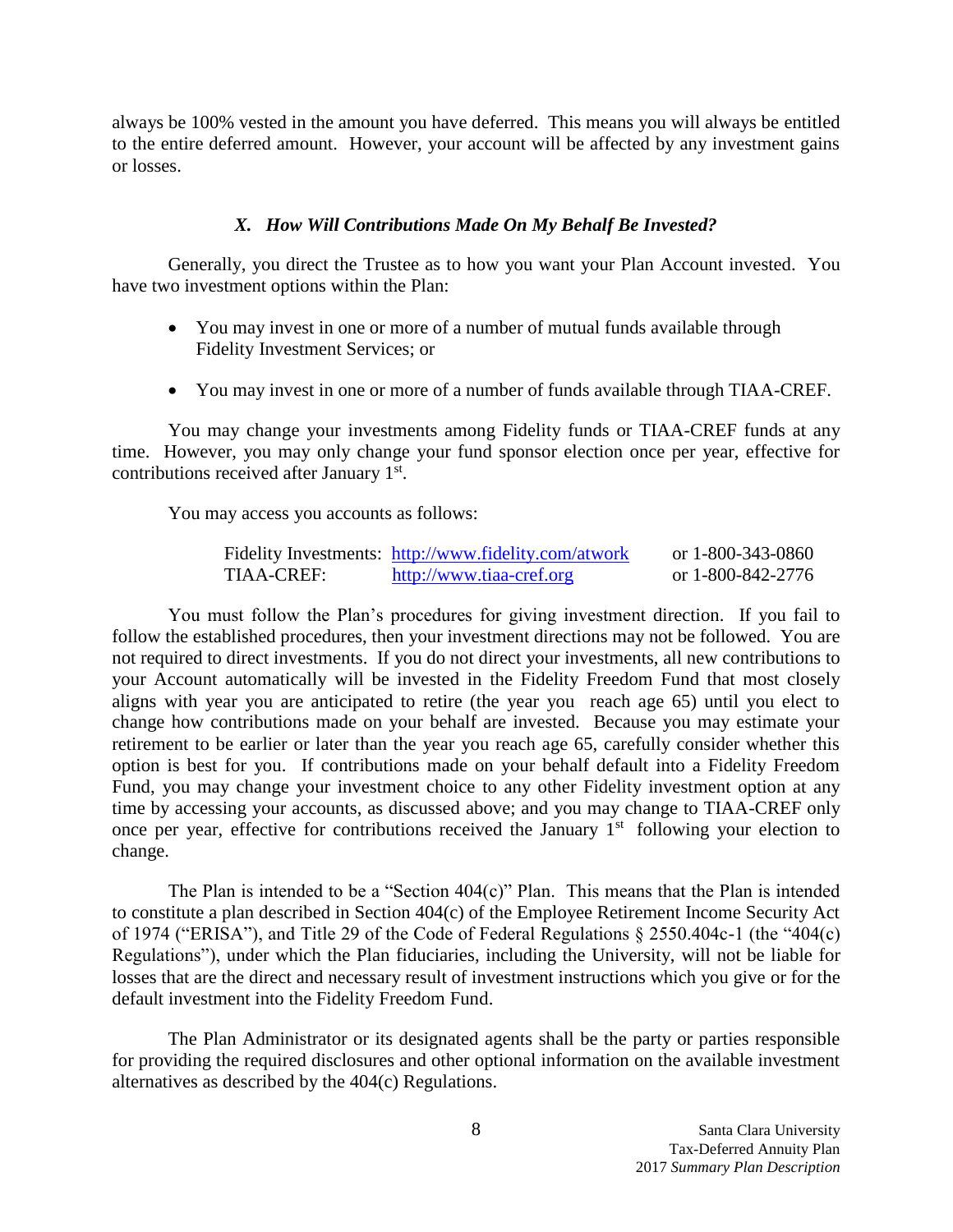always be 100% vested in the amount you have deferred. This means you will always be entitled to the entire deferred amount. However, your account will be affected by any investment gains or losses.

## <span id="page-8-0"></span>*X. How Will Contributions Made On My Behalf Be Invested?*

Generally, you direct the Trustee as to how you want your Plan Account invested. You have two investment options within the Plan:

- You may invest in one or more of a number of mutual funds available through Fidelity Investment Services; or
- You may invest in one or more of a number of funds available through TIAA-CREF.

You may change your investments among Fidelity funds or TIAA-CREF funds at any time. However, you may only change your fund sponsor election once per year, effective for contributions received after January 1<sup>st</sup>.

You may access you accounts as follows:

|            | Fidelity Investments: http://www.fidelity.com/atwork | or 1-800-343-0860 |
|------------|------------------------------------------------------|-------------------|
| TIAA-CREF: | http://www.tiaa-cref.org                             | or 1-800-842-2776 |

You must follow the Plan's procedures for giving investment direction. If you fail to follow the established procedures, then your investment directions may not be followed. You are not required to direct investments. If you do not direct your investments, all new contributions to your Account automatically will be invested in the Fidelity Freedom Fund that most closely aligns with year you are anticipated to retire (the year you reach age 65) until you elect to change how contributions made on your behalf are invested. Because you may estimate your retirement to be earlier or later than the year you reach age 65, carefully consider whether this option is best for you. If contributions made on your behalf default into a Fidelity Freedom Fund, you may change your investment choice to any other Fidelity investment option at any time by accessing your accounts, as discussed above; and you may change to TIAA-CREF only once per year, effective for contributions received the January 1<sup>st</sup> following your election to change.

The Plan is intended to be a "Section  $404(c)$ " Plan. This means that the Plan is intended to constitute a plan described in Section 404(c) of the Employee Retirement Income Security Act of 1974 ("ERISA"), and Title 29 of the Code of Federal Regulations § 2550.404c-1 (the "404(c) Regulations"), under which the Plan fiduciaries, including the University, will not be liable for losses that are the direct and necessary result of investment instructions which you give or for the default investment into the Fidelity Freedom Fund.

The Plan Administrator or its designated agents shall be the party or parties responsible for providing the required disclosures and other optional information on the available investment alternatives as described by the 404(c) Regulations.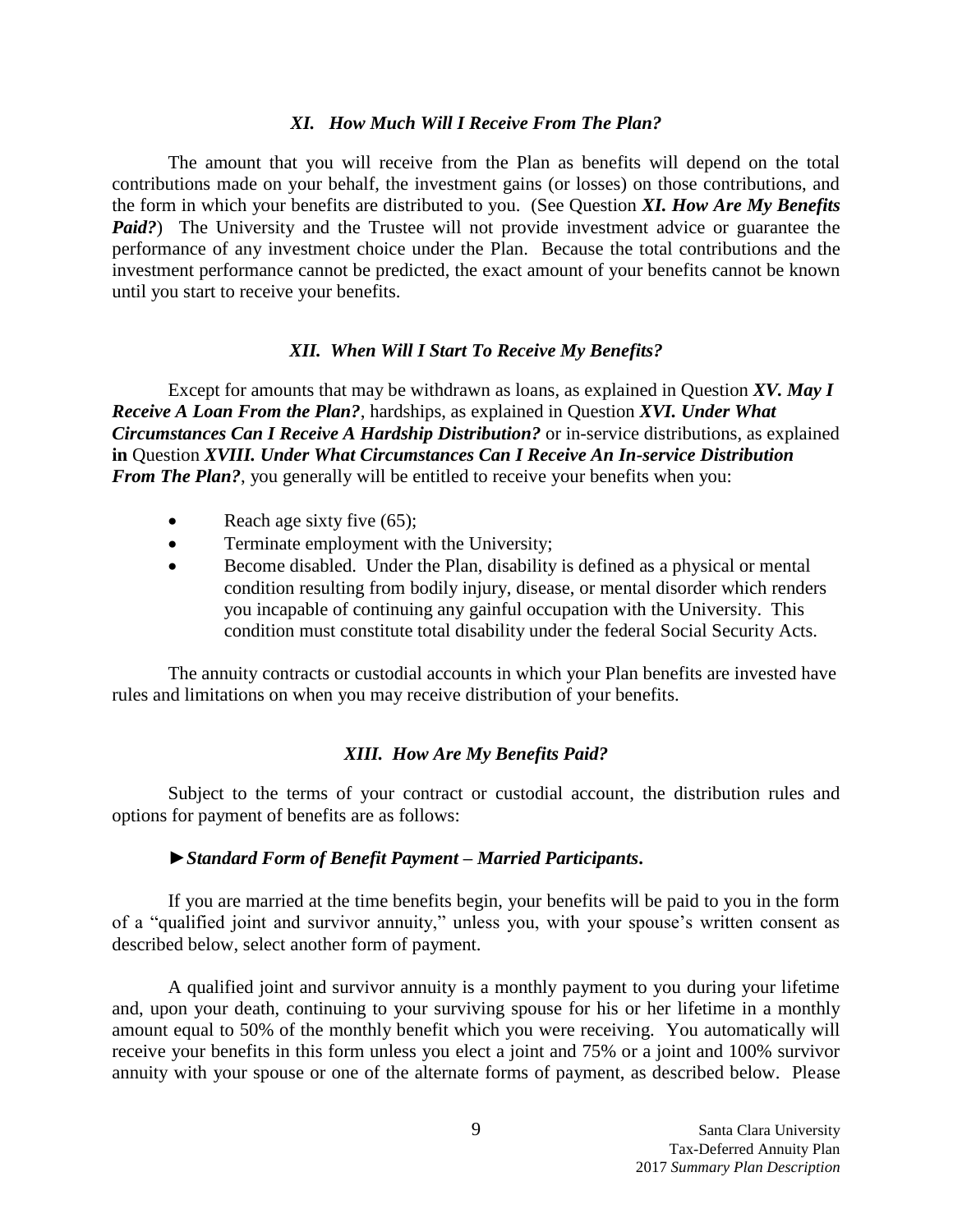#### <span id="page-9-0"></span>*XI. How Much Will I Receive From The Plan?*

The amount that you will receive from the Plan as benefits will depend on the total contributions made on your behalf, the investment gains (or losses) on those contributions, and the form in which your benefits are distributed to you. (See Question *XI. How Are My Benefits Paid?*) The University and the Trustee will not provide investment advice or guarantee the performance of any investment choice under the Plan. Because the total contributions and the investment performance cannot be predicted, the exact amount of your benefits cannot be known until you start to receive your benefits.

#### <span id="page-9-1"></span>*XII. When Will I Start To Receive My Benefits?*

Except for amounts that may be withdrawn as loans, as explained in Question *XV. May I Receive A Loan From the Plan?*, hardships, as explained in Question *XVI. Under What Circumstances Can I Receive A Hardship Distribution?* or in-service distributions, as explained **in** Question *XVIII. Under What Circumstances Can I Receive An In-service Distribution From The Plan?*, you generally will be entitled to receive your benefits when you:

- Reach age sixty five  $(65)$ ;
- Terminate employment with the University;
- Become disabled. Under the Plan, disability is defined as a physical or mental condition resulting from bodily injury, disease, or mental disorder which renders you incapable of continuing any gainful occupation with the University. This condition must constitute total disability under the federal Social Security Acts.

The annuity contracts or custodial accounts in which your Plan benefits are invested have rules and limitations on when you may receive distribution of your benefits.

## <span id="page-9-2"></span>*XIII. How Are My Benefits Paid?*

Subject to the terms of your contract or custodial account, the distribution rules and options for payment of benefits are as follows:

#### ►*Standard Form of Benefit Payment – Married Participants***.**

If you are married at the time benefits begin, your benefits will be paid to you in the form of a "qualified joint and survivor annuity," unless you, with your spouse's written consent as described below, select another form of payment.

A qualified joint and survivor annuity is a monthly payment to you during your lifetime and, upon your death, continuing to your surviving spouse for his or her lifetime in a monthly amount equal to 50% of the monthly benefit which you were receiving. You automatically will receive your benefits in this form unless you elect a joint and 75% or a joint and 100% survivor annuity with your spouse or one of the alternate forms of payment, as described below. Please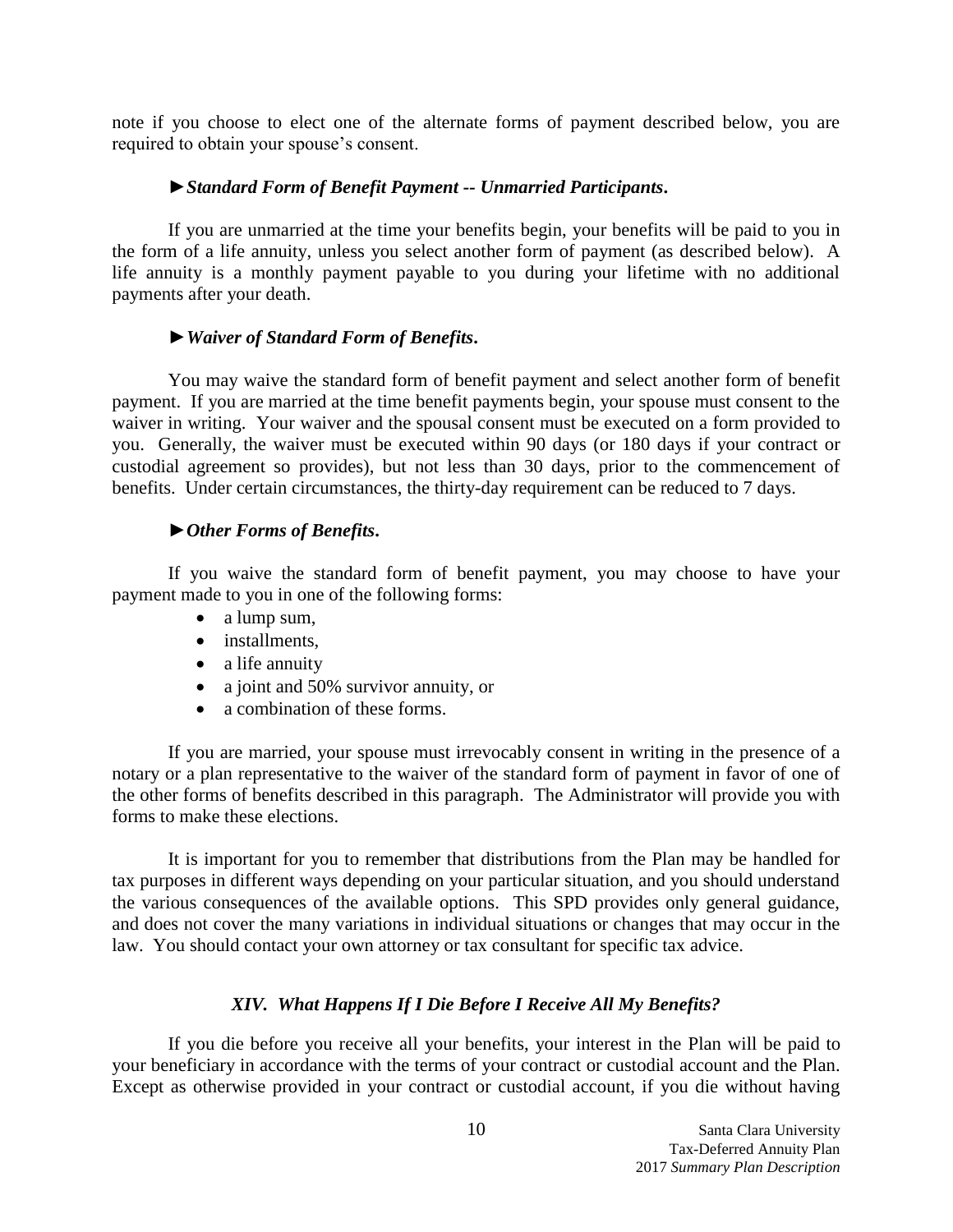note if you choose to elect one of the alternate forms of payment described below, you are required to obtain your spouse's consent.

## ►*Standard Form of Benefit Payment -- Unmarried Participants***.**

If you are unmarried at the time your benefits begin, your benefits will be paid to you in the form of a life annuity, unless you select another form of payment (as described below). A life annuity is a monthly payment payable to you during your lifetime with no additional payments after your death.

#### ►*Waiver of Standard Form of Benefits***.**

You may waive the standard form of benefit payment and select another form of benefit payment. If you are married at the time benefit payments begin, your spouse must consent to the waiver in writing. Your waiver and the spousal consent must be executed on a form provided to you. Generally, the waiver must be executed within 90 days (or 180 days if your contract or custodial agreement so provides), but not less than 30 days, prior to the commencement of benefits. Under certain circumstances, the thirty-day requirement can be reduced to 7 days.

#### ►*Other Forms of Benefits***.**

If you waive the standard form of benefit payment, you may choose to have your payment made to you in one of the following forms:

- a lump sum,
- installments,
- a life annuity
- a joint and 50% survivor annuity, or
- a combination of these forms.

If you are married, your spouse must irrevocably consent in writing in the presence of a notary or a plan representative to the waiver of the standard form of payment in favor of one of the other forms of benefits described in this paragraph. The Administrator will provide you with forms to make these elections.

It is important for you to remember that distributions from the Plan may be handled for tax purposes in different ways depending on your particular situation, and you should understand the various consequences of the available options. This SPD provides only general guidance, and does not cover the many variations in individual situations or changes that may occur in the law. You should contact your own attorney or tax consultant for specific tax advice.

## <span id="page-10-0"></span>*XIV. What Happens If I Die Before I Receive All My Benefits?*

If you die before you receive all your benefits, your interest in the Plan will be paid to your beneficiary in accordance with the terms of your contract or custodial account and the Plan. Except as otherwise provided in your contract or custodial account, if you die without having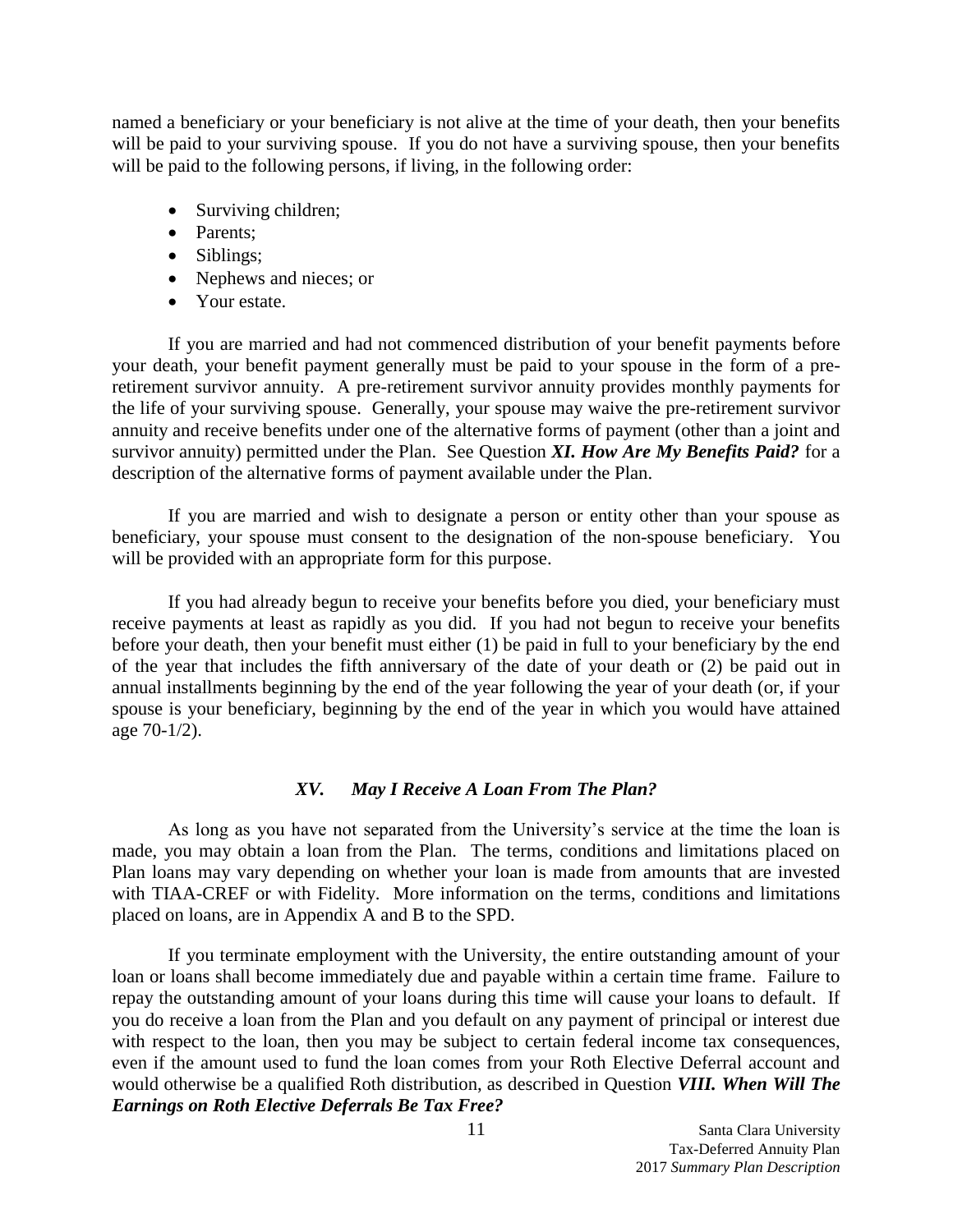named a beneficiary or your beneficiary is not alive at the time of your death, then your benefits will be paid to your surviving spouse. If you do not have a surviving spouse, then your benefits will be paid to the following persons, if living, in the following order:

- Surviving children;
- Parents:
- Siblings;
- Nephews and nieces; or
- Your estate.

If you are married and had not commenced distribution of your benefit payments before your death, your benefit payment generally must be paid to your spouse in the form of a preretirement survivor annuity. A pre-retirement survivor annuity provides monthly payments for the life of your surviving spouse. Generally, your spouse may waive the pre-retirement survivor annuity and receive benefits under one of the alternative forms of payment (other than a joint and survivor annuity) permitted under the Plan. See Question *XI. How Are My Benefits Paid?* for a description of the alternative forms of payment available under the Plan.

If you are married and wish to designate a person or entity other than your spouse as beneficiary, your spouse must consent to the designation of the non-spouse beneficiary. You will be provided with an appropriate form for this purpose.

If you had already begun to receive your benefits before you died, your beneficiary must receive payments at least as rapidly as you did. If you had not begun to receive your benefits before your death, then your benefit must either (1) be paid in full to your beneficiary by the end of the year that includes the fifth anniversary of the date of your death or (2) be paid out in annual installments beginning by the end of the year following the year of your death (or, if your spouse is your beneficiary, beginning by the end of the year in which you would have attained age 70-1/2).

## <span id="page-11-0"></span>*XV. May I Receive A Loan From The Plan?*

As long as you have not separated from the University's service at the time the loan is made, you may obtain a loan from the Plan. The terms, conditions and limitations placed on Plan loans may vary depending on whether your loan is made from amounts that are invested with TIAA-CREF or with Fidelity. More information on the terms, conditions and limitations placed on loans, are in Appendix A and B to the SPD.

If you terminate employment with the University, the entire outstanding amount of your loan or loans shall become immediately due and payable within a certain time frame. Failure to repay the outstanding amount of your loans during this time will cause your loans to default. If you do receive a loan from the Plan and you default on any payment of principal or interest due with respect to the loan, then you may be subject to certain federal income tax consequences, even if the amount used to fund the loan comes from your Roth Elective Deferral account and would otherwise be a qualified Roth distribution, as described in Question *VIII. When Will The Earnings on Roth Elective Deferrals Be Tax Free?*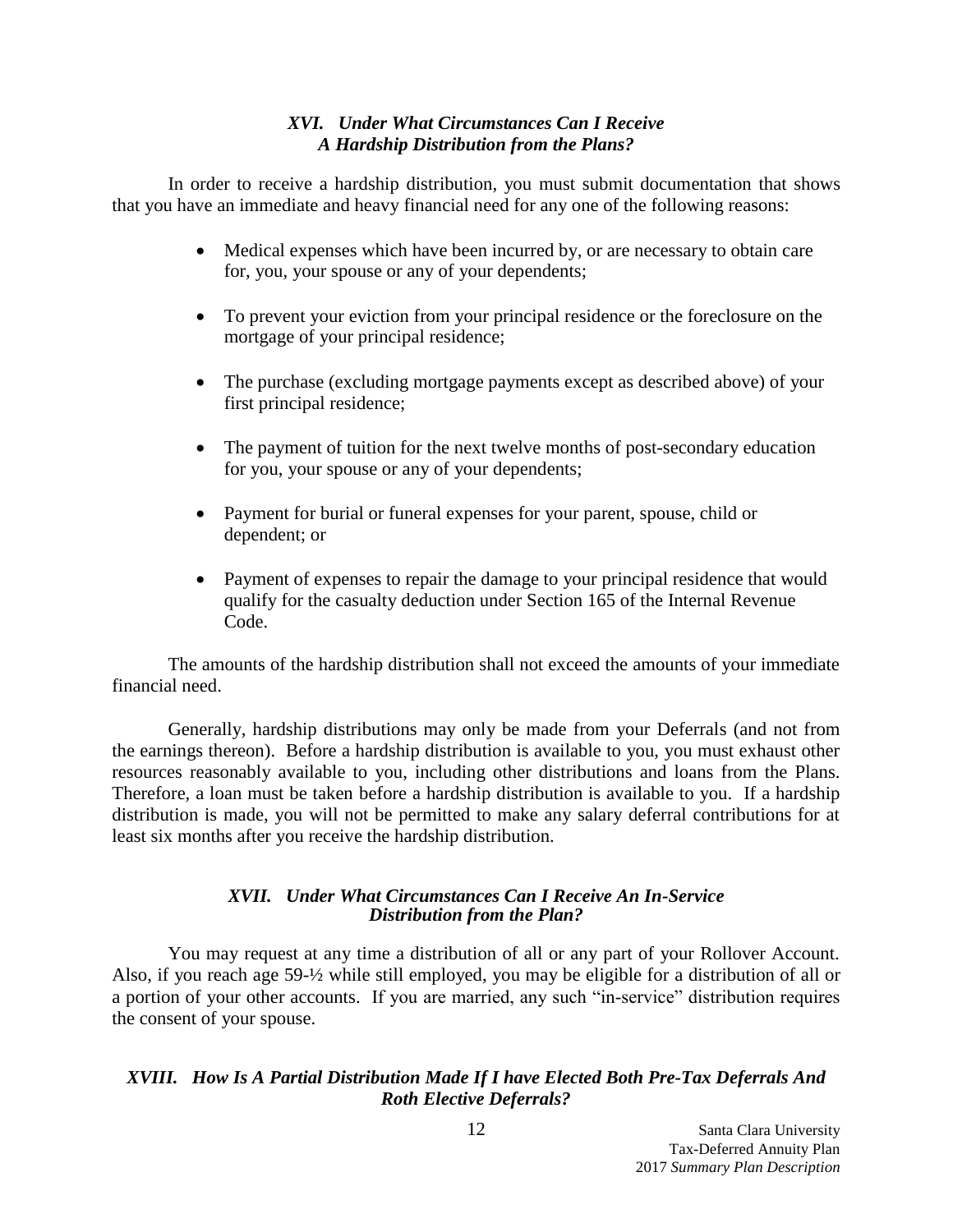# <span id="page-12-0"></span>*XVI. Under What Circumstances Can I Receive A Hardship Distribution from the Plans?*

In order to receive a hardship distribution, you must submit documentation that shows that you have an immediate and heavy financial need for any one of the following reasons:

- Medical expenses which have been incurred by, or are necessary to obtain care for, you, your spouse or any of your dependents;
- To prevent your eviction from your principal residence or the foreclosure on the mortgage of your principal residence;
- The purchase (excluding mortgage payments except as described above) of your first principal residence;
- The payment of tuition for the next twelve months of post-secondary education for you, your spouse or any of your dependents;
- Payment for burial or funeral expenses for your parent, spouse, child or dependent; or
- Payment of expenses to repair the damage to your principal residence that would qualify for the casualty deduction under Section 165 of the Internal Revenue Code.

The amounts of the hardship distribution shall not exceed the amounts of your immediate financial need.

Generally, hardship distributions may only be made from your Deferrals (and not from the earnings thereon). Before a hardship distribution is available to you, you must exhaust other resources reasonably available to you, including other distributions and loans from the Plans. Therefore, a loan must be taken before a hardship distribution is available to you. If a hardship distribution is made, you will not be permitted to make any salary deferral contributions for at least six months after you receive the hardship distribution.

# <span id="page-12-1"></span>*XVII. Under What Circumstances Can I Receive An In-Service Distribution from the Plan?*

You may request at any time a distribution of all or any part of your Rollover Account. Also, if you reach age 59-½ while still employed, you may be eligible for a distribution of all or a portion of your other accounts. If you are married, any such "in-service" distribution requires the consent of your spouse.

# <span id="page-12-2"></span>*XVIII. How Is A Partial Distribution Made If I have Elected Both Pre-Tax Deferrals And Roth Elective Deferrals?*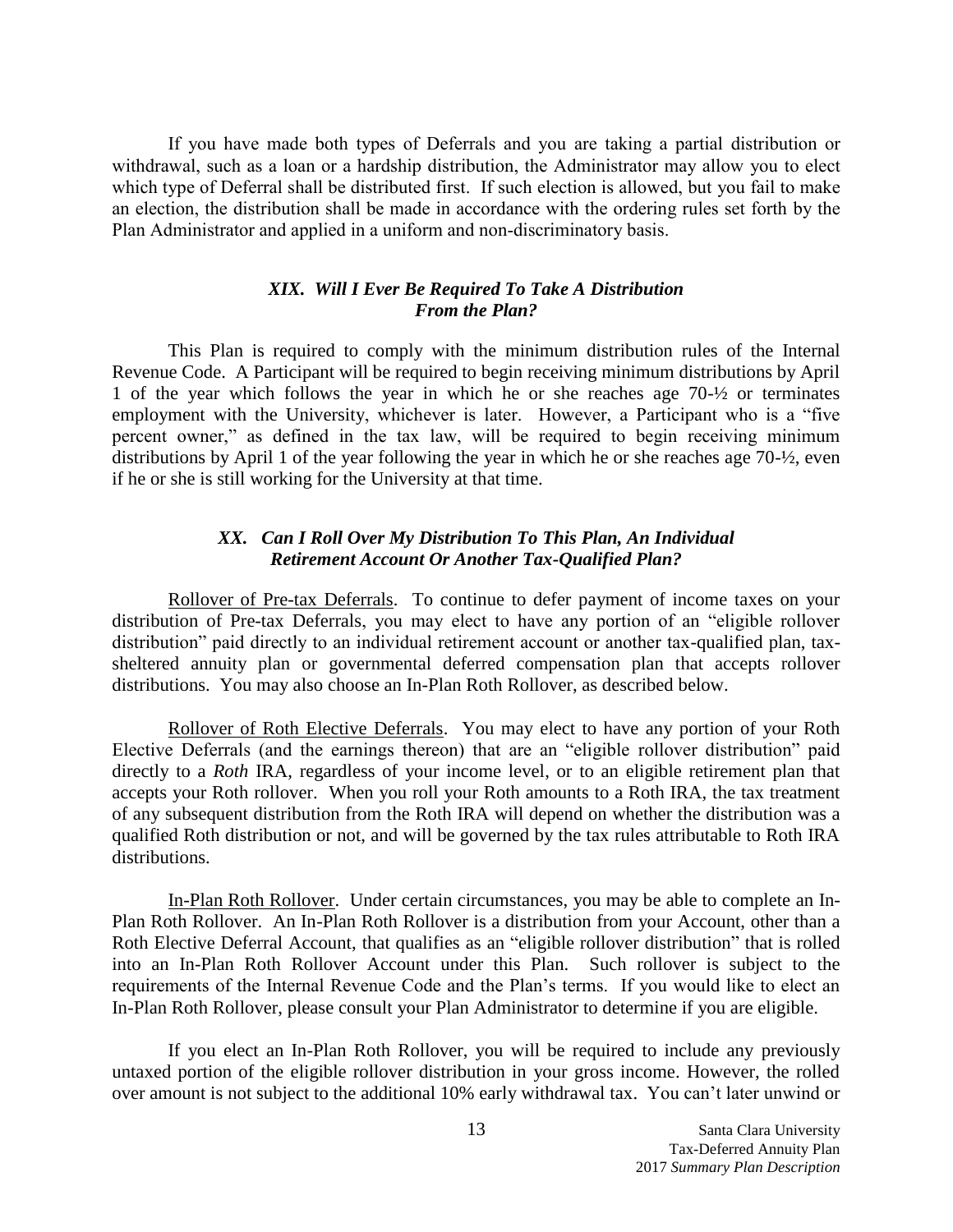If you have made both types of Deferrals and you are taking a partial distribution or withdrawal, such as a loan or a hardship distribution, the Administrator may allow you to elect which type of Deferral shall be distributed first. If such election is allowed, but you fail to make an election, the distribution shall be made in accordance with the ordering rules set forth by the Plan Administrator and applied in a uniform and non-discriminatory basis.

## <span id="page-13-0"></span>*XIX. Will I Ever Be Required To Take A Distribution From the Plan?*

This Plan is required to comply with the minimum distribution rules of the Internal Revenue Code. A Participant will be required to begin receiving minimum distributions by April 1 of the year which follows the year in which he or she reaches age 70-½ or terminates employment with the University, whichever is later. However, a Participant who is a "five percent owner," as defined in the tax law, will be required to begin receiving minimum distributions by April 1 of the year following the year in which he or she reaches age 70-½, even if he or she is still working for the University at that time.

# <span id="page-13-1"></span>*XX. Can I Roll Over My Distribution To This Plan, An Individual Retirement Account Or Another Tax-Qualified Plan?*

Rollover of Pre-tax Deferrals. To continue to defer payment of income taxes on your distribution of Pre-tax Deferrals, you may elect to have any portion of an "eligible rollover distribution" paid directly to an individual retirement account or another tax-qualified plan, taxsheltered annuity plan or governmental deferred compensation plan that accepts rollover distributions. You may also choose an In-Plan Roth Rollover, as described below.

Rollover of Roth Elective Deferrals. You may elect to have any portion of your Roth Elective Deferrals (and the earnings thereon) that are an "eligible rollover distribution" paid directly to a *Roth* IRA, regardless of your income level, or to an eligible retirement plan that accepts your Roth rollover. When you roll your Roth amounts to a Roth IRA, the tax treatment of any subsequent distribution from the Roth IRA will depend on whether the distribution was a qualified Roth distribution or not, and will be governed by the tax rules attributable to Roth IRA distributions.

In-Plan Roth Rollover. Under certain circumstances, you may be able to complete an In-Plan Roth Rollover. An In-Plan Roth Rollover is a distribution from your Account, other than a Roth Elective Deferral Account, that qualifies as an "eligible rollover distribution" that is rolled into an In-Plan Roth Rollover Account under this Plan. Such rollover is subject to the requirements of the Internal Revenue Code and the Plan's terms. If you would like to elect an In-Plan Roth Rollover, please consult your Plan Administrator to determine if you are eligible.

If you elect an In-Plan Roth Rollover, you will be required to include any [previously](http://www.irs.gov/publications/p560/ch04.html#en_US_publink10009022)  [untaxed portion](http://www.irs.gov/publications/p560/ch04.html#en_US_publink10009022) of the eligible rollover distribution in your gross income. However, the rolled over amount is not subject to the [additional 10% early withdrawal tax.](http://www.irs.gov/retirement/participant/article/0,,id=211440,00.html) You can't later unwind or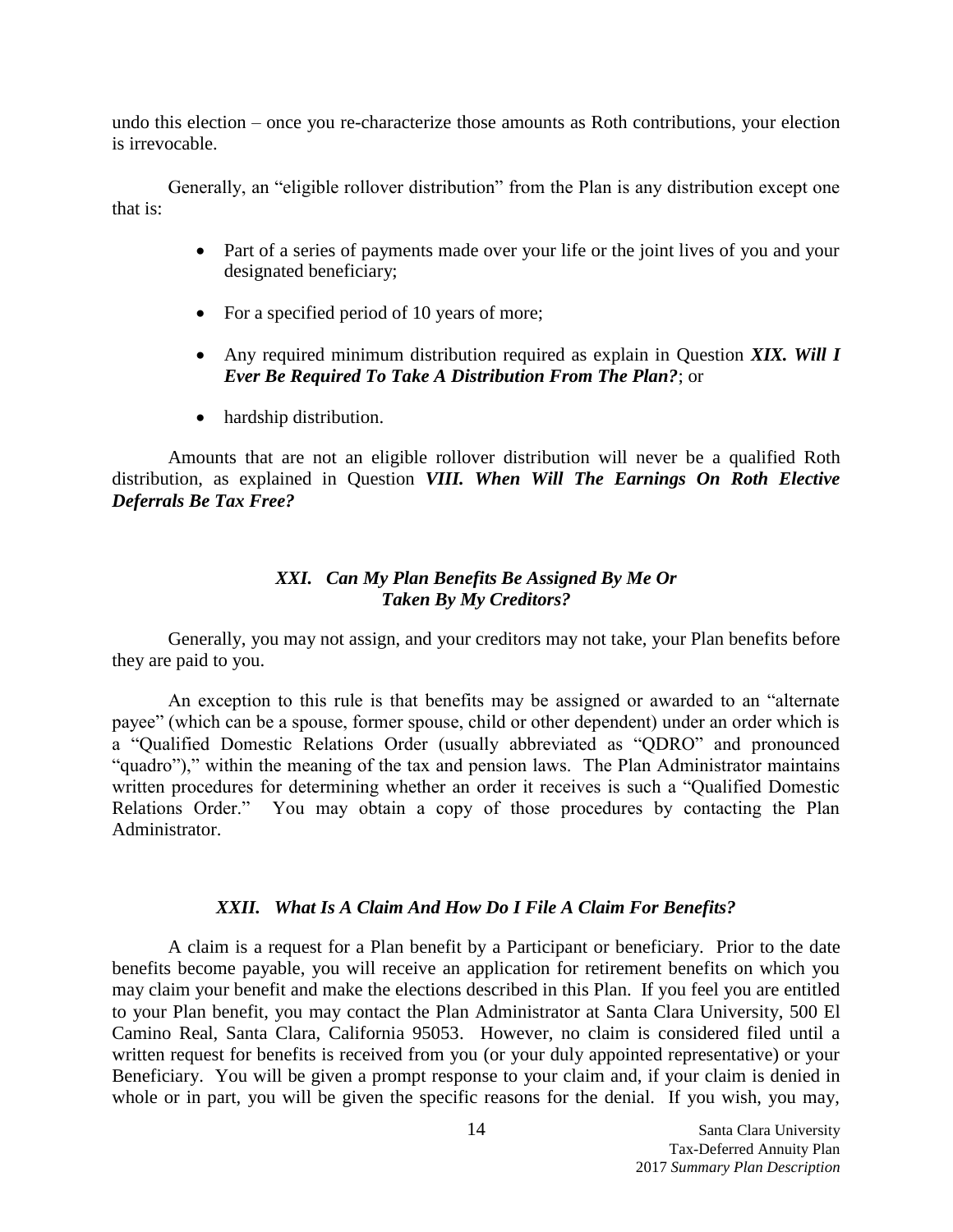undo this election – once you re-characterize those amounts as Roth contributions, your election is irrevocable.

Generally, an "eligible rollover distribution" from the Plan is any distribution except one that is:

- Part of a series of payments made over your life or the joint lives of you and your designated beneficiary;
- For a specified period of 10 years of more;
- Any required minimum distribution required as explain in Question *XIX. Will I Ever Be Required To Take A Distribution From The Plan?*; or
- hardship distribution.

Amounts that are not an eligible rollover distribution will never be a qualified Roth distribution, as explained in Question *VIII. When Will The Earnings On Roth Elective Deferrals Be Tax Free?*

## <span id="page-14-0"></span>*XXI. Can My Plan Benefits Be Assigned By Me Or Taken By My Creditors?*

Generally, you may not assign, and your creditors may not take, your Plan benefits before they are paid to you.

An exception to this rule is that benefits may be assigned or awarded to an "alternate payee" (which can be a spouse, former spouse, child or other dependent) under an order which is a "Qualified Domestic Relations Order (usually abbreviated as "QDRO" and pronounced "quadro")," within the meaning of the tax and pension laws. The Plan Administrator maintains written procedures for determining whether an order it receives is such a "Qualified Domestic Relations Order." You may obtain a copy of those procedures by contacting the Plan Administrator.

## <span id="page-14-1"></span>*XXII. What Is A Claim And How Do I File A Claim For Benefits?*

A claim is a request for a Plan benefit by a Participant or beneficiary. Prior to the date benefits become payable, you will receive an application for retirement benefits on which you may claim your benefit and make the elections described in this Plan. If you feel you are entitled to your Plan benefit, you may contact the Plan Administrator at Santa Clara University, 500 El Camino Real, Santa Clara, California 95053. However, no claim is considered filed until a written request for benefits is received from you (or your duly appointed representative) or your Beneficiary. You will be given a prompt response to your claim and, if your claim is denied in whole or in part, you will be given the specific reasons for the denial. If you wish, you may,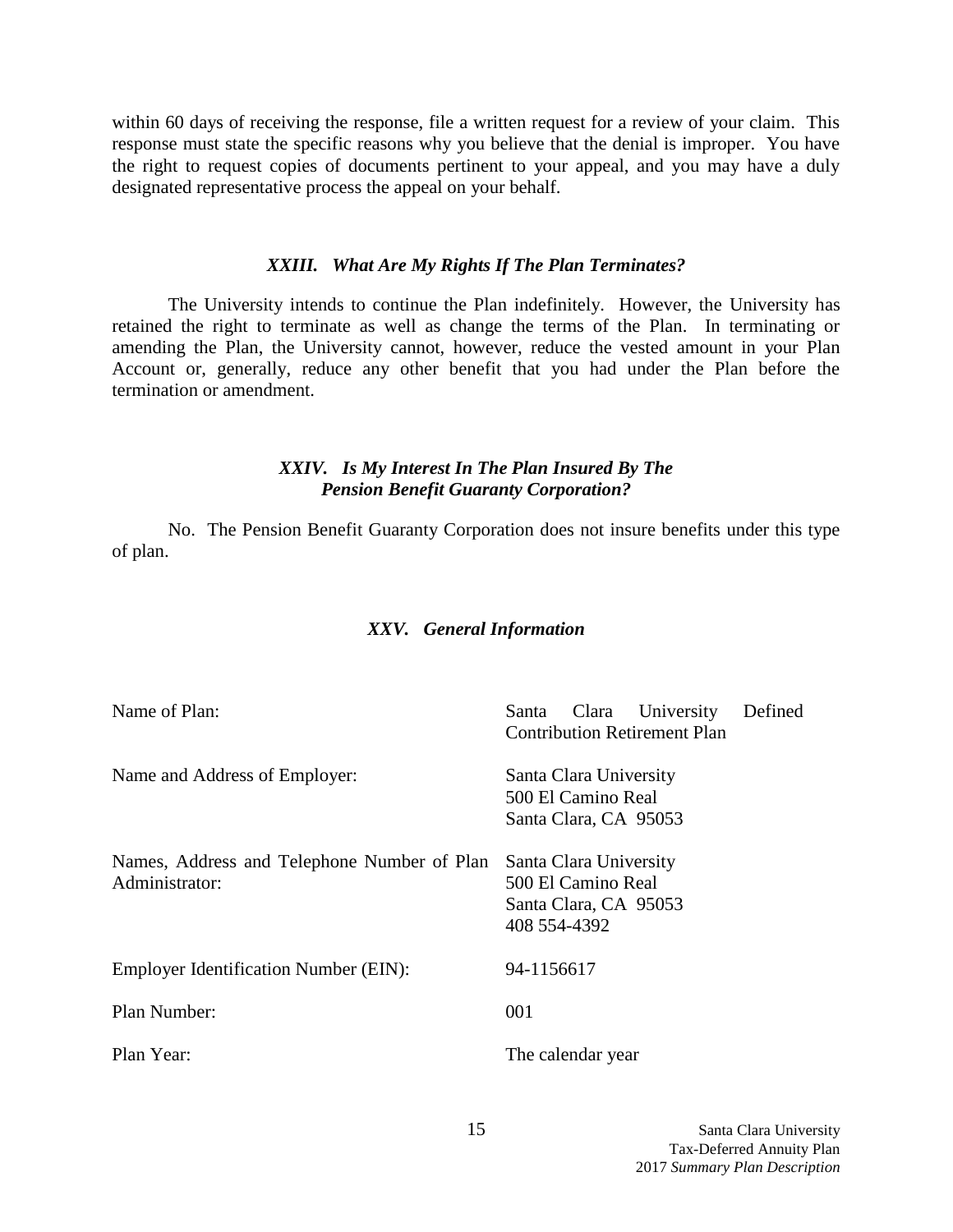within 60 days of receiving the response, file a written request for a review of your claim. This response must state the specific reasons why you believe that the denial is improper. You have the right to request copies of documents pertinent to your appeal, and you may have a duly designated representative process the appeal on your behalf.

#### <span id="page-15-0"></span>*XXIII. What Are My Rights If The Plan Terminates?*

The University intends to continue the Plan indefinitely. However, the University has retained the right to terminate as well as change the terms of the Plan. In terminating or amending the Plan, the University cannot, however, reduce the vested amount in your Plan Account or, generally, reduce any other benefit that you had under the Plan before the termination or amendment.

## <span id="page-15-1"></span>*XXIV. Is My Interest In The Plan Insured By The Pension Benefit Guaranty Corporation?*

No. The Pension Benefit Guaranty Corporation does not insure benefits under this type of plan.

## <span id="page-15-2"></span>*XXV. General Information*

| Name of Plan:                                                 | University<br>Defined<br>Clara<br>Santa<br><b>Contribution Retirement Plan</b>        |
|---------------------------------------------------------------|---------------------------------------------------------------------------------------|
| Name and Address of Employer:                                 | Santa Clara University<br>500 El Camino Real<br>Santa Clara, CA 95053                 |
| Names, Address and Telephone Number of Plan<br>Administrator: | Santa Clara University<br>500 El Camino Real<br>Santa Clara, CA 95053<br>408 554-4392 |
| <b>Employer Identification Number (EIN):</b>                  | 94-1156617                                                                            |
| Plan Number:                                                  | 001                                                                                   |
| Plan Year:                                                    | The calendar year                                                                     |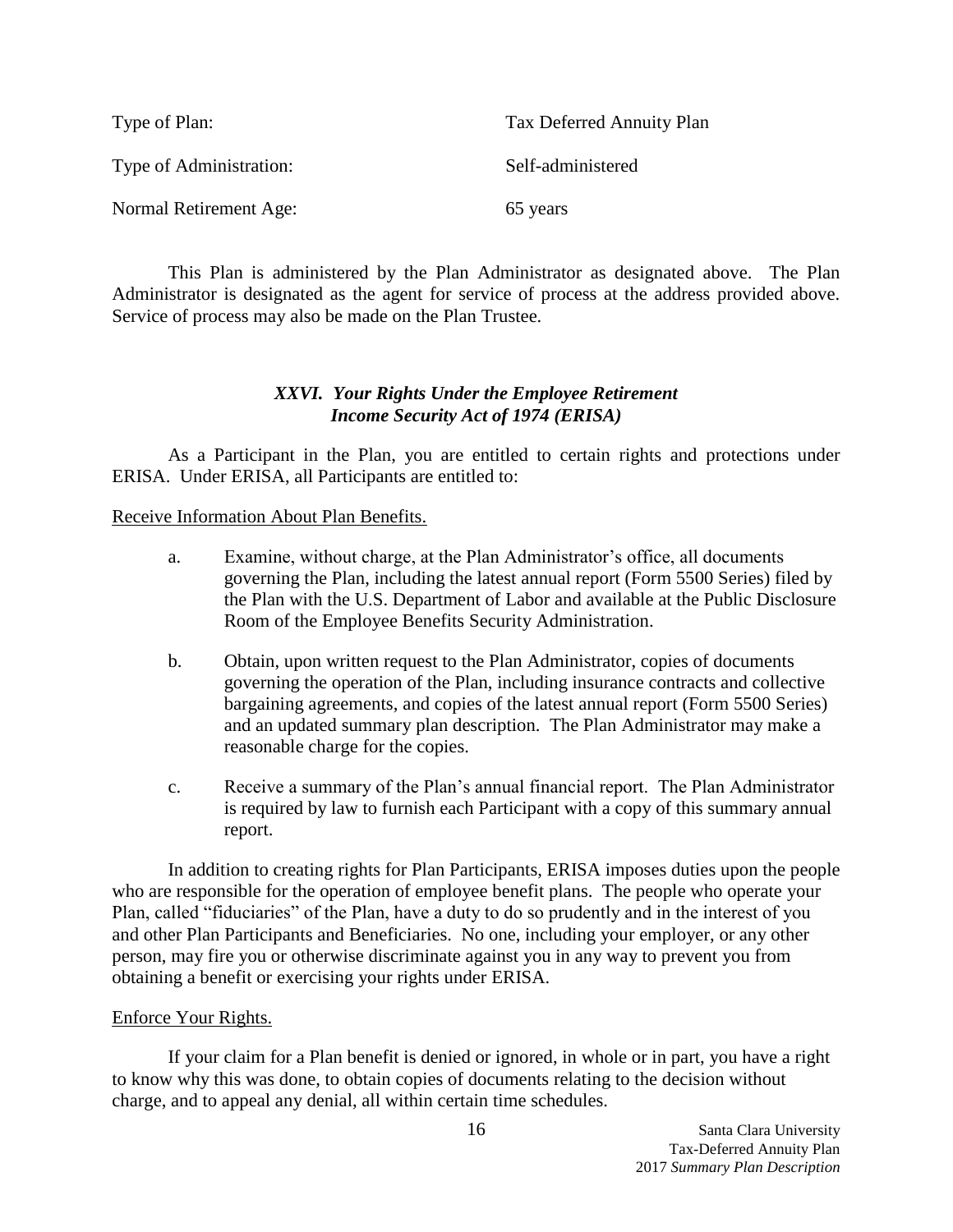| Type of Plan:           | Tax Deferred Annuity Plan |
|-------------------------|---------------------------|
| Type of Administration: | Self-administered         |
| Normal Retirement Age:  | 65 years                  |

This Plan is administered by the Plan Administrator as designated above. The Plan Administrator is designated as the agent for service of process at the address provided above. Service of process may also be made on the Plan Trustee.

# <span id="page-16-0"></span>*XXVI. Your Rights Under the Employee Retirement Income Security Act of 1974 (ERISA)*

As a Participant in the Plan, you are entitled to certain rights and protections under ERISA. Under ERISA, all Participants are entitled to:

# Receive Information About Plan Benefits.

- a. Examine, without charge, at the Plan Administrator's office, all documents governing the Plan, including the latest annual report (Form 5500 Series) filed by the Plan with the U.S. Department of Labor and available at the Public Disclosure Room of the Employee Benefits Security Administration.
- b. Obtain, upon written request to the Plan Administrator, copies of documents governing the operation of the Plan, including insurance contracts and collective bargaining agreements, and copies of the latest annual report (Form 5500 Series) and an updated summary plan description. The Plan Administrator may make a reasonable charge for the copies.
- c. Receive a summary of the Plan's annual financial report. The Plan Administrator is required by law to furnish each Participant with a copy of this summary annual report.

In addition to creating rights for Plan Participants, ERISA imposes duties upon the people who are responsible for the operation of employee benefit plans. The people who operate your Plan, called "fiduciaries" of the Plan, have a duty to do so prudently and in the interest of you and other Plan Participants and Beneficiaries. No one, including your employer, or any other person, may fire you or otherwise discriminate against you in any way to prevent you from obtaining a benefit or exercising your rights under ERISA.

# Enforce Your Rights.

If your claim for a Plan benefit is denied or ignored, in whole or in part, you have a right to know why this was done, to obtain copies of documents relating to the decision without charge, and to appeal any denial, all within certain time schedules.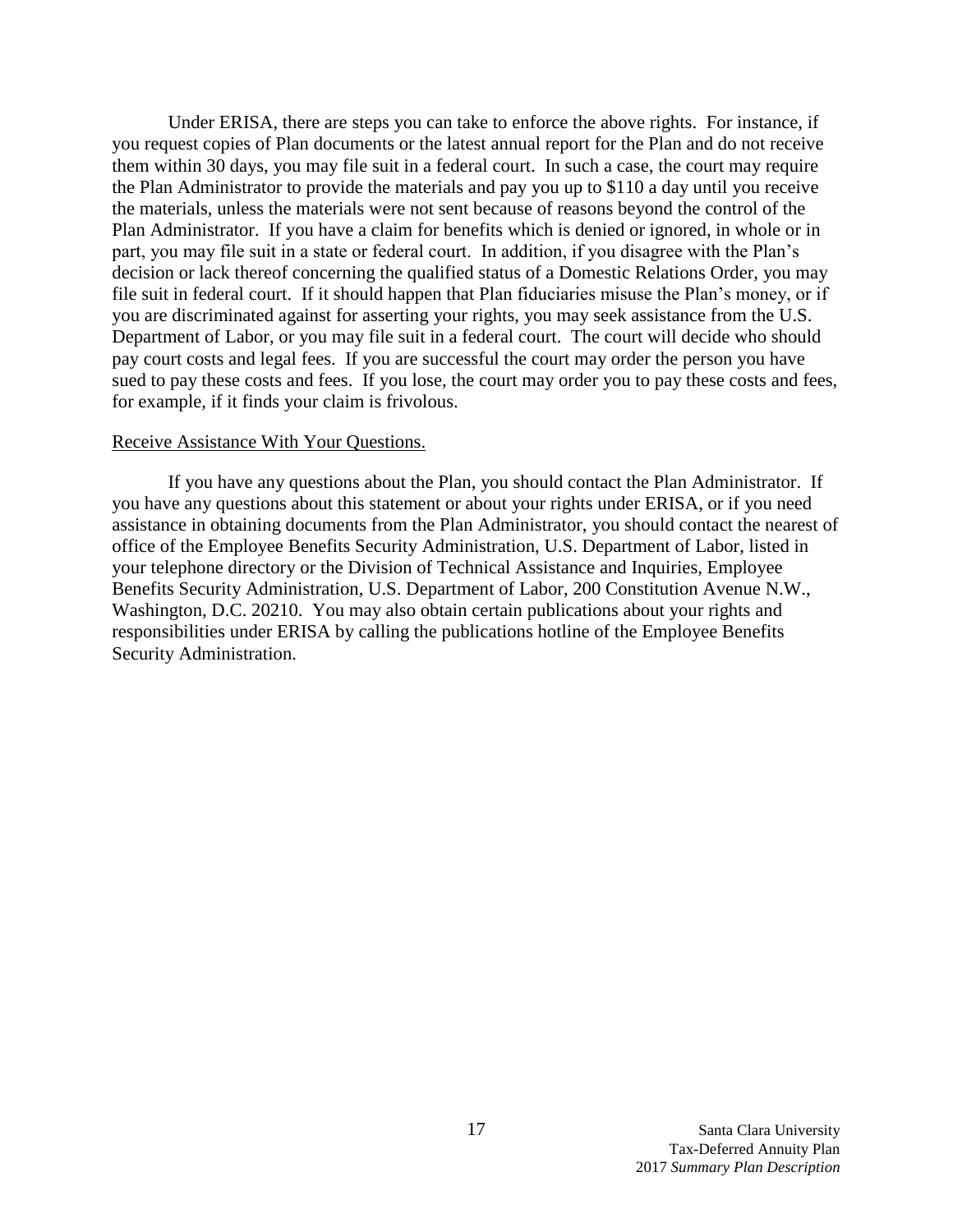Under ERISA, there are steps you can take to enforce the above rights. For instance, if you request copies of Plan documents or the latest annual report for the Plan and do not receive them within 30 days, you may file suit in a federal court. In such a case, the court may require the Plan Administrator to provide the materials and pay you up to \$110 a day until you receive the materials, unless the materials were not sent because of reasons beyond the control of the Plan Administrator. If you have a claim for benefits which is denied or ignored, in whole or in part, you may file suit in a state or federal court. In addition, if you disagree with the Plan's decision or lack thereof concerning the qualified status of a Domestic Relations Order, you may file suit in federal court. If it should happen that Plan fiduciaries misuse the Plan's money, or if you are discriminated against for asserting your rights, you may seek assistance from the U.S. Department of Labor, or you may file suit in a federal court. The court will decide who should pay court costs and legal fees. If you are successful the court may order the person you have sued to pay these costs and fees. If you lose, the court may order you to pay these costs and fees, for example, if it finds your claim is frivolous.

#### Receive Assistance With Your Questions.

If you have any questions about the Plan, you should contact the Plan Administrator. If you have any questions about this statement or about your rights under ERISA, or if you need assistance in obtaining documents from the Plan Administrator, you should contact the nearest of office of the Employee Benefits Security Administration, U.S. Department of Labor, listed in your telephone directory or the Division of Technical Assistance and Inquiries, Employee Benefits Security Administration, U.S. Department of Labor, 200 Constitution Avenue N.W., Washington, D.C. 20210. You may also obtain certain publications about your rights and responsibilities under ERISA by calling the publications hotline of the Employee Benefits Security Administration.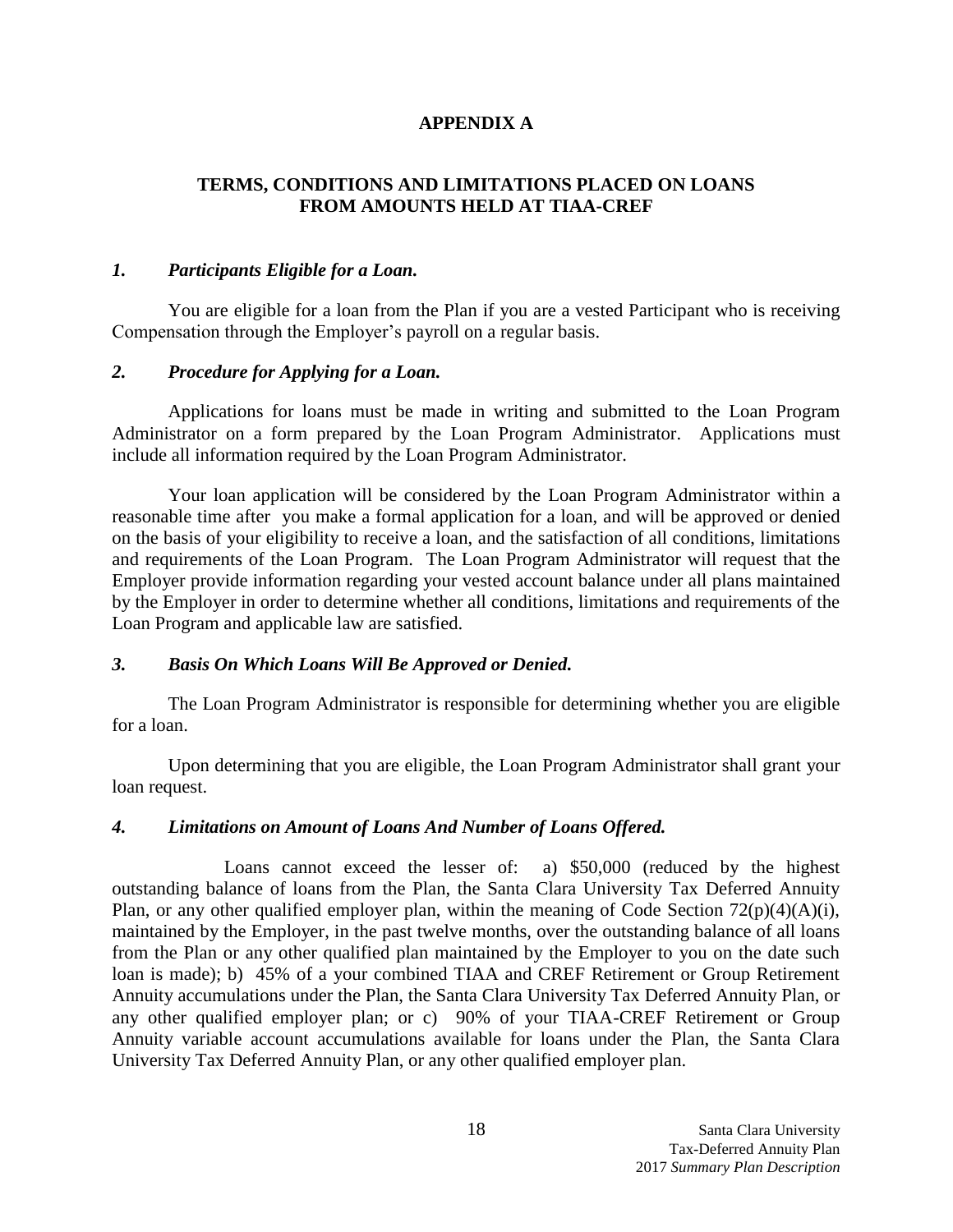# **APPENDIX A**

# **TERMS, CONDITIONS AND LIMITATIONS PLACED ON LOANS FROM AMOUNTS HELD AT TIAA-CREF**

## *1. Participants Eligible for a Loan.*

You are eligible for a loan from the Plan if you are a vested Participant who is receiving Compensation through the Employer's payroll on a regular basis.

# *2. Procedure for Applying for a Loan.*

Applications for loans must be made in writing and submitted to the Loan Program Administrator on a form prepared by the Loan Program Administrator. Applications must include all information required by the Loan Program Administrator.

Your loan application will be considered by the Loan Program Administrator within a reasonable time after you make a formal application for a loan, and will be approved or denied on the basis of your eligibility to receive a loan, and the satisfaction of all conditions, limitations and requirements of the Loan Program. The Loan Program Administrator will request that the Employer provide information regarding your vested account balance under all plans maintained by the Employer in order to determine whether all conditions, limitations and requirements of the Loan Program and applicable law are satisfied.

# *3. Basis On Which Loans Will Be Approved or Denied.*

The Loan Program Administrator is responsible for determining whether you are eligible for a loan.

Upon determining that you are eligible, the Loan Program Administrator shall grant your loan request.

# *4. Limitations on Amount of Loans And Number of Loans Offered.*

Loans cannot exceed the lesser of: a) \$50,000 (reduced by the highest outstanding balance of loans from the Plan, the Santa Clara University Tax Deferred Annuity Plan, or any other qualified employer plan, within the meaning of Code Section  $72(p)(4)(A)(i)$ , maintained by the Employer, in the past twelve months, over the outstanding balance of all loans from the Plan or any other qualified plan maintained by the Employer to you on the date such loan is made); b) 45% of a your combined TIAA and CREF Retirement or Group Retirement Annuity accumulations under the Plan, the Santa Clara University Tax Deferred Annuity Plan, or any other qualified employer plan; or c) 90% of your TIAA-CREF Retirement or Group Annuity variable account accumulations available for loans under the Plan, the Santa Clara University Tax Deferred Annuity Plan, or any other qualified employer plan.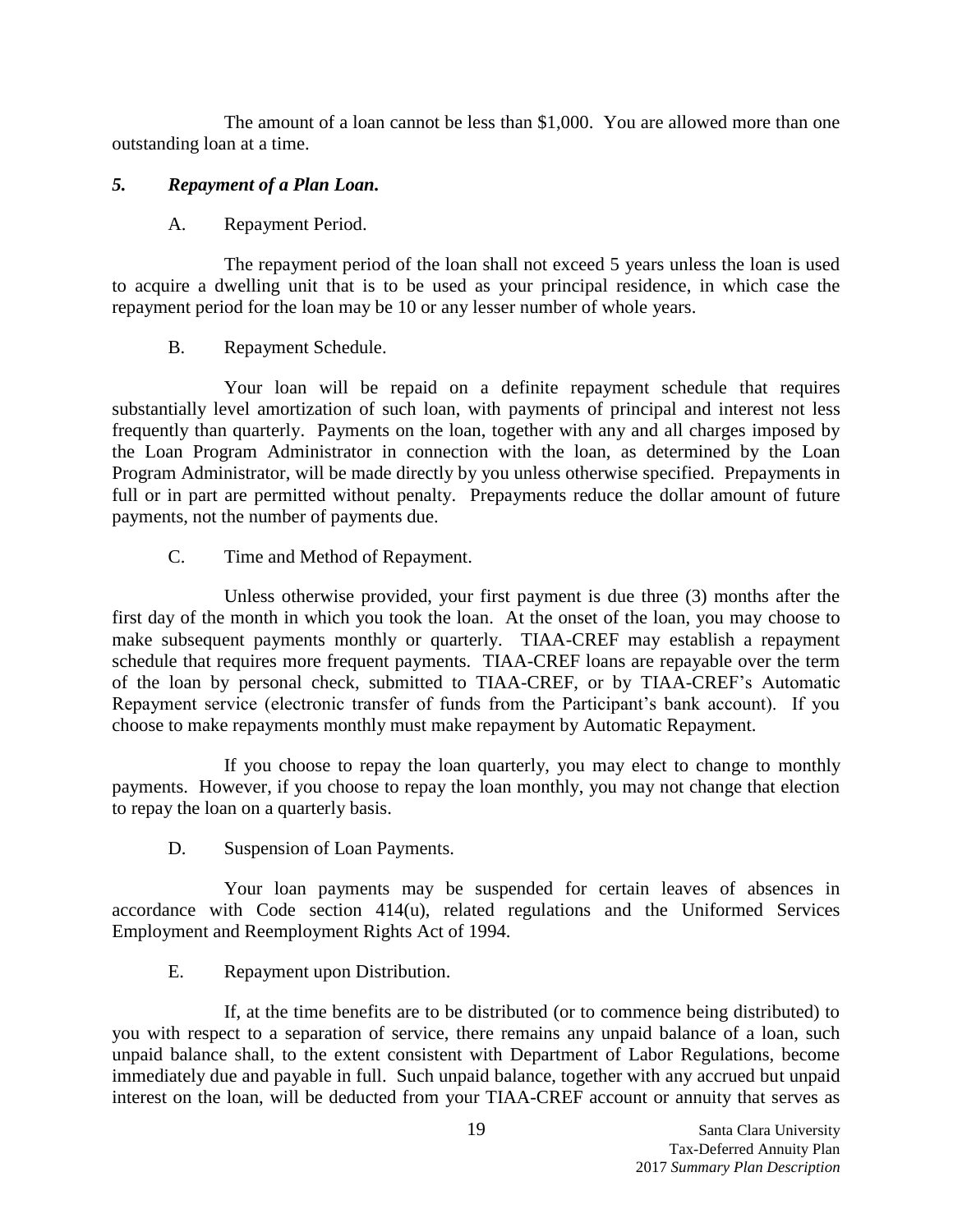The amount of a loan cannot be less than \$1,000. You are allowed more than one outstanding loan at a time.

# *5. Repayment of a Plan Loan.*

A. Repayment Period.

The repayment period of the loan shall not exceed 5 years unless the loan is used to acquire a dwelling unit that is to be used as your principal residence, in which case the repayment period for the loan may be 10 or any lesser number of whole years.

# B. Repayment Schedule.

Your loan will be repaid on a definite repayment schedule that requires substantially level amortization of such loan, with payments of principal and interest not less frequently than quarterly. Payments on the loan, together with any and all charges imposed by the Loan Program Administrator in connection with the loan, as determined by the Loan Program Administrator, will be made directly by you unless otherwise specified. Prepayments in full or in part are permitted without penalty. Prepayments reduce the dollar amount of future payments, not the number of payments due.

C. Time and Method of Repayment.

Unless otherwise provided, your first payment is due three (3) months after the first day of the month in which you took the loan. At the onset of the loan, you may choose to make subsequent payments monthly or quarterly. TIAA-CREF may establish a repayment schedule that requires more frequent payments. TIAA-CREF loans are repayable over the term of the loan by personal check, submitted to TIAA-CREF, or by TIAA-CREF's Automatic Repayment service (electronic transfer of funds from the Participant's bank account). If you choose to make repayments monthly must make repayment by Automatic Repayment.

If you choose to repay the loan quarterly, you may elect to change to monthly payments. However, if you choose to repay the loan monthly, you may not change that election to repay the loan on a quarterly basis.

D. Suspension of Loan Payments.

Your loan payments may be suspended for certain leaves of absences in accordance with Code section 414(u), related regulations and the Uniformed Services Employment and Reemployment Rights Act of 1994.

E. Repayment upon Distribution.

If, at the time benefits are to be distributed (or to commence being distributed) to you with respect to a separation of service, there remains any unpaid balance of a loan, such unpaid balance shall, to the extent consistent with Department of Labor Regulations, become immediately due and payable in full. Such unpaid balance, together with any accrued but unpaid interest on the loan, will be deducted from your TIAA-CREF account or annuity that serves as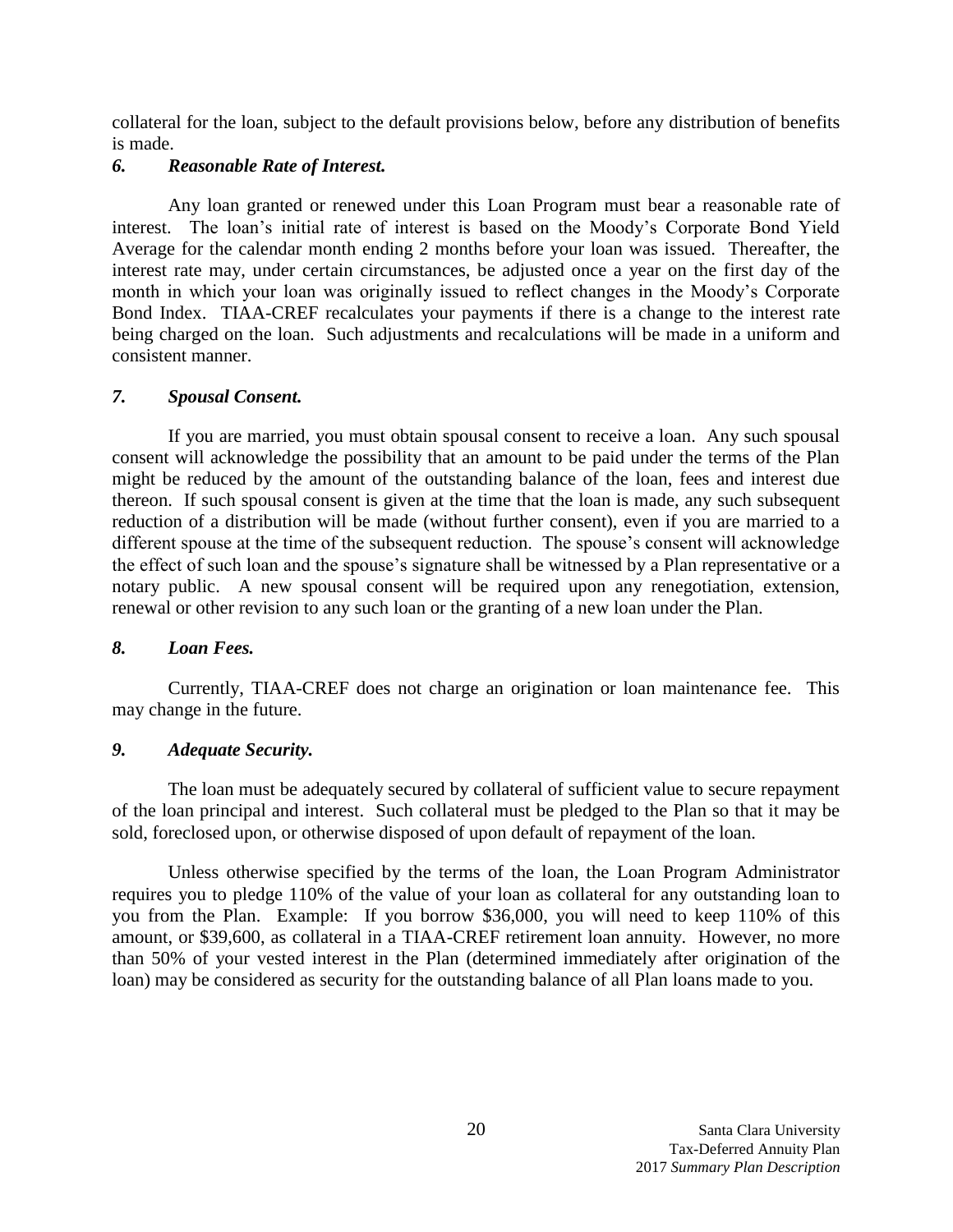collateral for the loan, subject to the default provisions below, before any distribution of benefits is made.

# *6. Reasonable Rate of Interest.*

Any loan granted or renewed under this Loan Program must bear a reasonable rate of interest. The loan's initial rate of interest is based on the Moody's Corporate Bond Yield Average for the calendar month ending 2 months before your loan was issued. Thereafter, the interest rate may, under certain circumstances, be adjusted once a year on the first day of the month in which your loan was originally issued to reflect changes in the Moody's Corporate Bond Index. TIAA-CREF recalculates your payments if there is a change to the interest rate being charged on the loan. Such adjustments and recalculations will be made in a uniform and consistent manner.

# *7. Spousal Consent.*

If you are married, you must obtain spousal consent to receive a loan. Any such spousal consent will acknowledge the possibility that an amount to be paid under the terms of the Plan might be reduced by the amount of the outstanding balance of the loan, fees and interest due thereon. If such spousal consent is given at the time that the loan is made, any such subsequent reduction of a distribution will be made (without further consent), even if you are married to a different spouse at the time of the subsequent reduction. The spouse's consent will acknowledge the effect of such loan and the spouse's signature shall be witnessed by a Plan representative or a notary public. A new spousal consent will be required upon any renegotiation, extension, renewal or other revision to any such loan or the granting of a new loan under the Plan.

# *8. Loan Fees.*

Currently, TIAA-CREF does not charge an origination or loan maintenance fee. This may change in the future.

# *9. Adequate Security.*

The loan must be adequately secured by collateral of sufficient value to secure repayment of the loan principal and interest. Such collateral must be pledged to the Plan so that it may be sold, foreclosed upon, or otherwise disposed of upon default of repayment of the loan.

Unless otherwise specified by the terms of the loan, the Loan Program Administrator requires you to pledge 110% of the value of your loan as collateral for any outstanding loan to you from the Plan. Example: If you borrow \$36,000, you will need to keep 110% of this amount, or \$39,600, as collateral in a TIAA-CREF retirement loan annuity. However, no more than 50% of your vested interest in the Plan (determined immediately after origination of the loan) may be considered as security for the outstanding balance of all Plan loans made to you.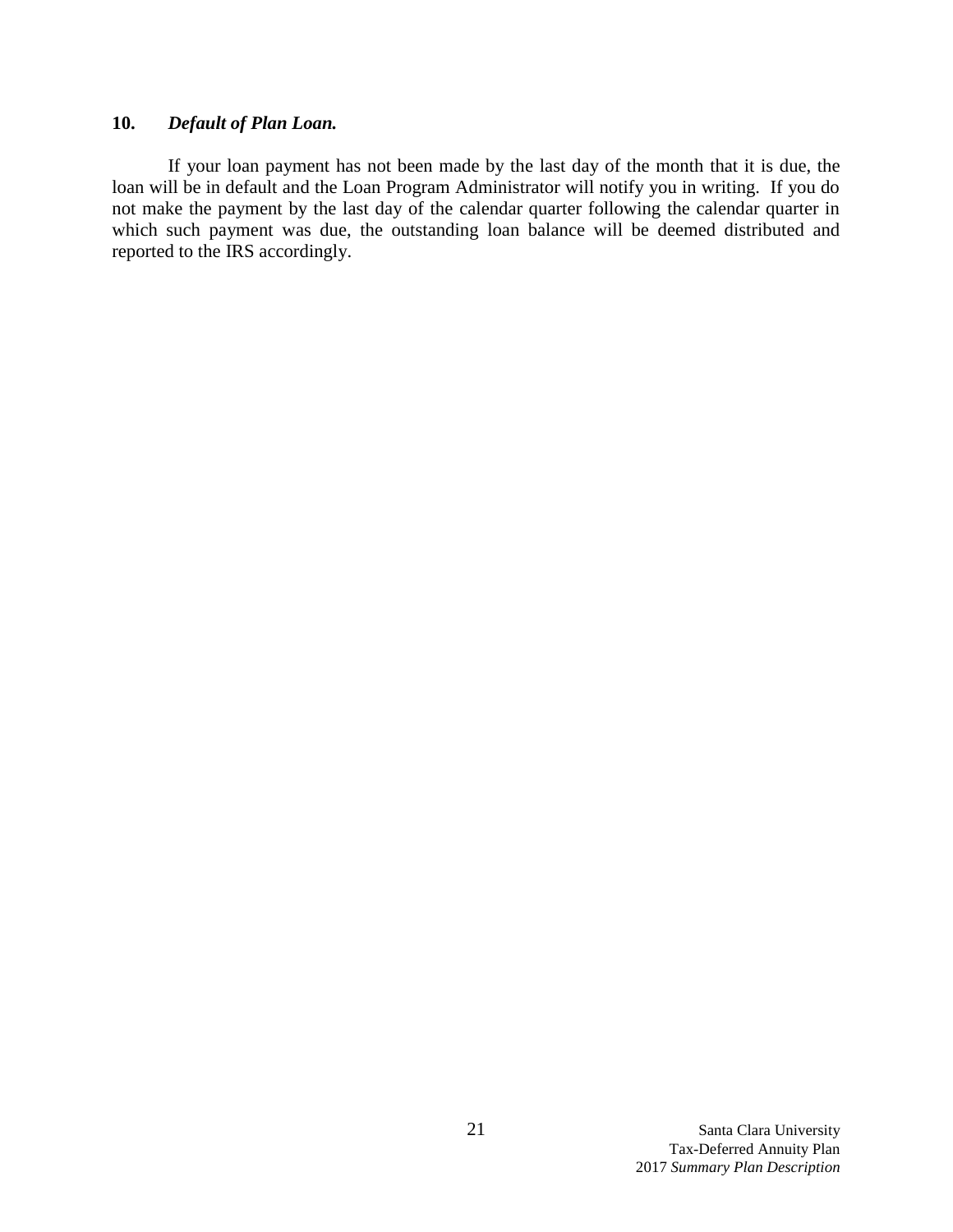# **10.** *Default of Plan Loan.*

If your loan payment has not been made by the last day of the month that it is due, the loan will be in default and the Loan Program Administrator will notify you in writing. If you do not make the payment by the last day of the calendar quarter following the calendar quarter in which such payment was due, the outstanding loan balance will be deemed distributed and reported to the IRS accordingly.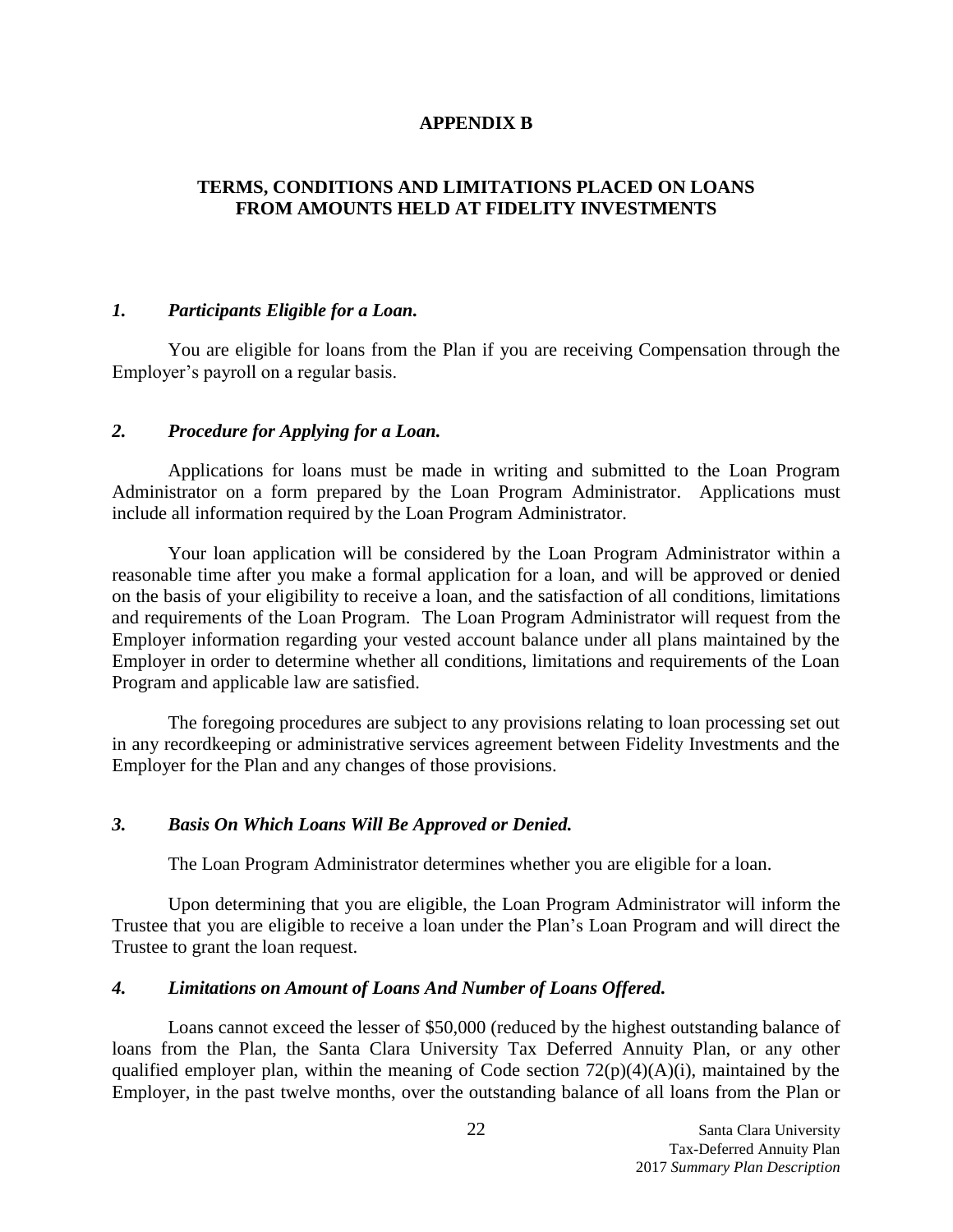## **APPENDIX B**

# **TERMS, CONDITIONS AND LIMITATIONS PLACED ON LOANS FROM AMOUNTS HELD AT FIDELITY INVESTMENTS**

## *1. Participants Eligible for a Loan.*

You are eligible for loans from the Plan if you are receiving Compensation through the Employer's payroll on a regular basis.

# *2. Procedure for Applying for a Loan.*

Applications for loans must be made in writing and submitted to the Loan Program Administrator on a form prepared by the Loan Program Administrator. Applications must include all information required by the Loan Program Administrator.

Your loan application will be considered by the Loan Program Administrator within a reasonable time after you make a formal application for a loan, and will be approved or denied on the basis of your eligibility to receive a loan, and the satisfaction of all conditions, limitations and requirements of the Loan Program. The Loan Program Administrator will request from the Employer information regarding your vested account balance under all plans maintained by the Employer in order to determine whether all conditions, limitations and requirements of the Loan Program and applicable law are satisfied.

The foregoing procedures are subject to any provisions relating to loan processing set out in any recordkeeping or administrative services agreement between Fidelity Investments and the Employer for the Plan and any changes of those provisions.

## *3. Basis On Which Loans Will Be Approved or Denied.*

The Loan Program Administrator determines whether you are eligible for a loan.

Upon determining that you are eligible, the Loan Program Administrator will inform the Trustee that you are eligible to receive a loan under the Plan's Loan Program and will direct the Trustee to grant the loan request.

## *4. Limitations on Amount of Loans And Number of Loans Offered.*

Loans cannot exceed the lesser of \$50,000 (reduced by the highest outstanding balance of loans from the Plan, the Santa Clara University Tax Deferred Annuity Plan, or any other qualified employer plan, within the meaning of Code section  $72(p)(4)(A)(i)$ , maintained by the Employer, in the past twelve months, over the outstanding balance of all loans from the Plan or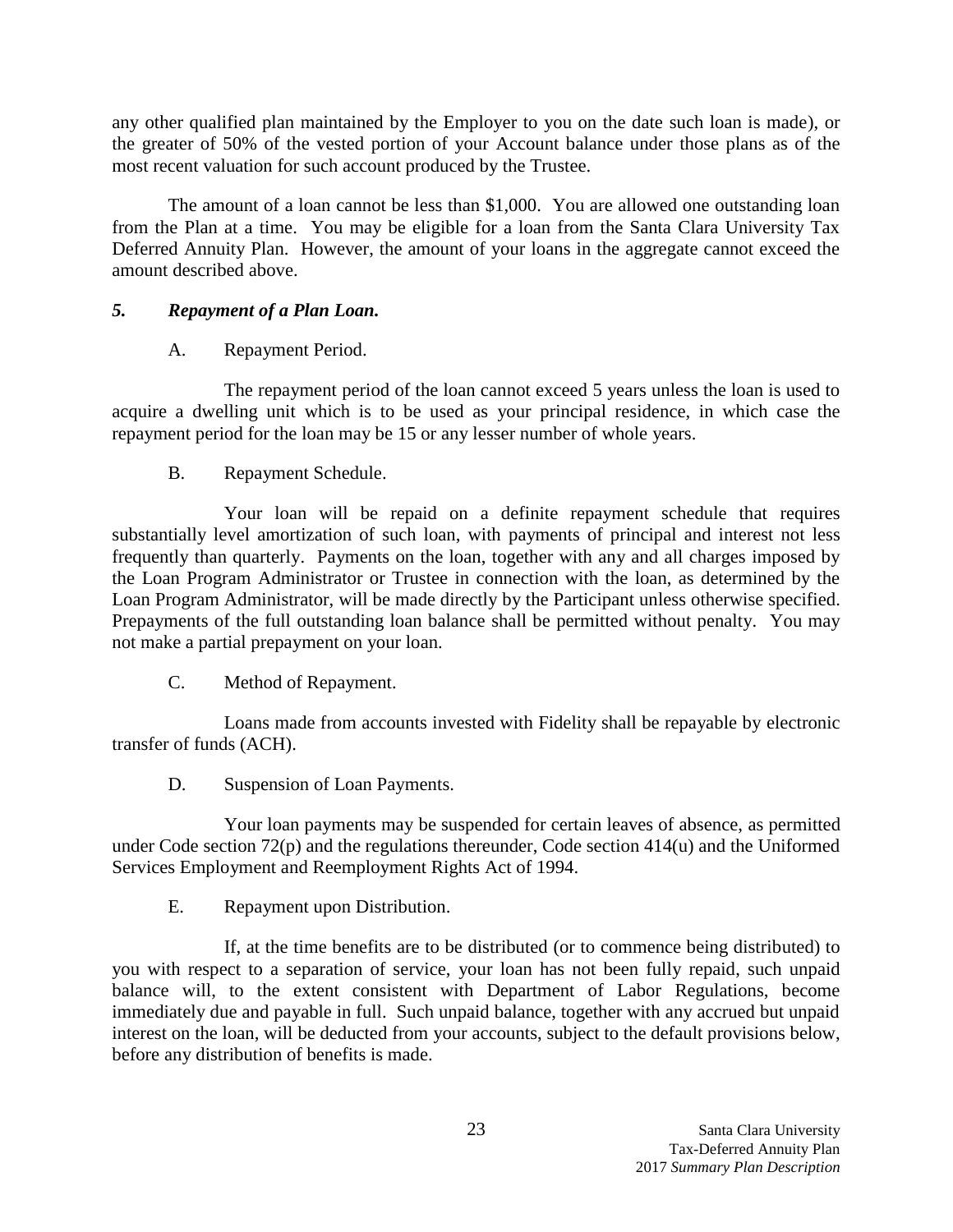any other qualified plan maintained by the Employer to you on the date such loan is made), or the greater of 50% of the vested portion of your Account balance under those plans as of the most recent valuation for such account produced by the Trustee.

The amount of a loan cannot be less than \$1,000. You are allowed one outstanding loan from the Plan at a time. You may be eligible for a loan from the Santa Clara University Tax Deferred Annuity Plan. However, the amount of your loans in the aggregate cannot exceed the amount described above.

# *5. Repayment of a Plan Loan.*

# A. Repayment Period.

The repayment period of the loan cannot exceed 5 years unless the loan is used to acquire a dwelling unit which is to be used as your principal residence, in which case the repayment period for the loan may be 15 or any lesser number of whole years.

# B. Repayment Schedule.

Your loan will be repaid on a definite repayment schedule that requires substantially level amortization of such loan, with payments of principal and interest not less frequently than quarterly. Payments on the loan, together with any and all charges imposed by the Loan Program Administrator or Trustee in connection with the loan, as determined by the Loan Program Administrator, will be made directly by the Participant unless otherwise specified. Prepayments of the full outstanding loan balance shall be permitted without penalty.You may not make a partial prepayment on your loan.

C. Method of Repayment.

Loans made from accounts invested with Fidelity shall be repayable by electronic transfer of funds (ACH).

D. Suspension of Loan Payments.

Your loan payments may be suspended for certain leaves of absence, as permitted under Code section 72(p) and the regulations thereunder, Code section 414(u) and the Uniformed Services Employment and Reemployment Rights Act of 1994.

E. Repayment upon Distribution.

If, at the time benefits are to be distributed (or to commence being distributed) to you with respect to a separation of service, your loan has not been fully repaid, such unpaid balance will, to the extent consistent with Department of Labor Regulations, become immediately due and payable in full. Such unpaid balance, together with any accrued but unpaid interest on the loan, will be deducted from your accounts, subject to the default provisions below, before any distribution of benefits is made.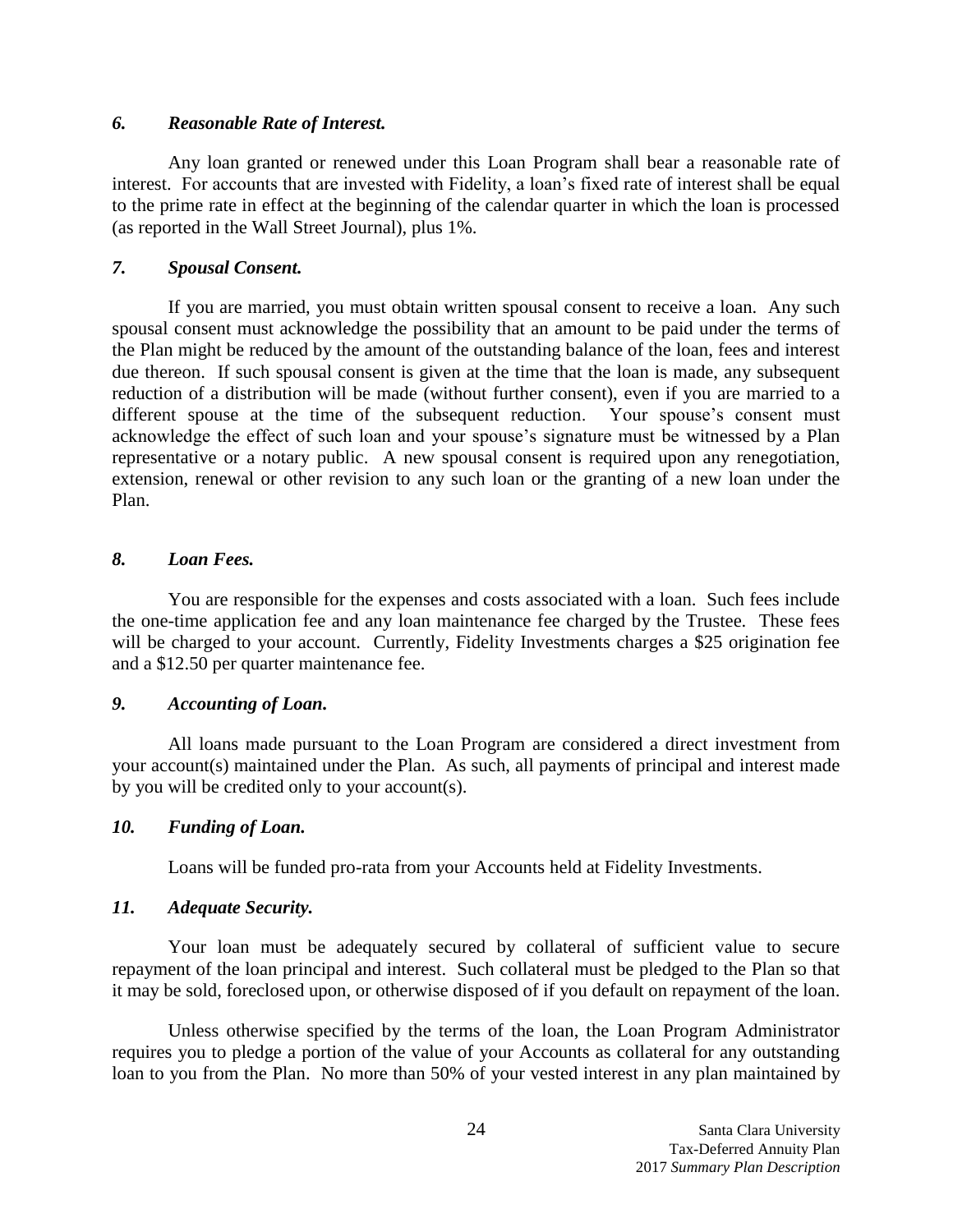# *6. Reasonable Rate of Interest.*

Any loan granted or renewed under this Loan Program shall bear a reasonable rate of interest. For accounts that are invested with Fidelity, a loan's fixed rate of interest shall be equal to the prime rate in effect at the beginning of the calendar quarter in which the loan is processed (as reported in the Wall Street Journal), plus 1%.

# *7. Spousal Consent.*

If you are married, you must obtain written spousal consent to receive a loan. Any such spousal consent must acknowledge the possibility that an amount to be paid under the terms of the Plan might be reduced by the amount of the outstanding balance of the loan, fees and interest due thereon. If such spousal consent is given at the time that the loan is made, any subsequent reduction of a distribution will be made (without further consent), even if you are married to a different spouse at the time of the subsequent reduction. Your spouse's consent must acknowledge the effect of such loan and your spouse's signature must be witnessed by a Plan representative or a notary public. A new spousal consent is required upon any renegotiation, extension, renewal or other revision to any such loan or the granting of a new loan under the Plan.

# *8. Loan Fees.*

You are responsible for the expenses and costs associated with a loan. Such fees include the one-time application fee and any loan maintenance fee charged by the Trustee. These fees will be charged to your account. Currently, Fidelity Investments charges a \$25 origination fee and a \$12.50 per quarter maintenance fee.

# *9. Accounting of Loan.*

All loans made pursuant to the Loan Program are considered a direct investment from your account(s) maintained under the Plan. As such, all payments of principal and interest made by you will be credited only to your account(s).

# *10. Funding of Loan.*

Loans will be funded pro-rata from your Accounts held at Fidelity Investments.

# *11. Adequate Security.*

Your loan must be adequately secured by collateral of sufficient value to secure repayment of the loan principal and interest. Such collateral must be pledged to the Plan so that it may be sold, foreclosed upon, or otherwise disposed of if you default on repayment of the loan.

Unless otherwise specified by the terms of the loan, the Loan Program Administrator requires you to pledge a portion of the value of your Accounts as collateral for any outstanding loan to you from the Plan. No more than 50% of your vested interest in any plan maintained by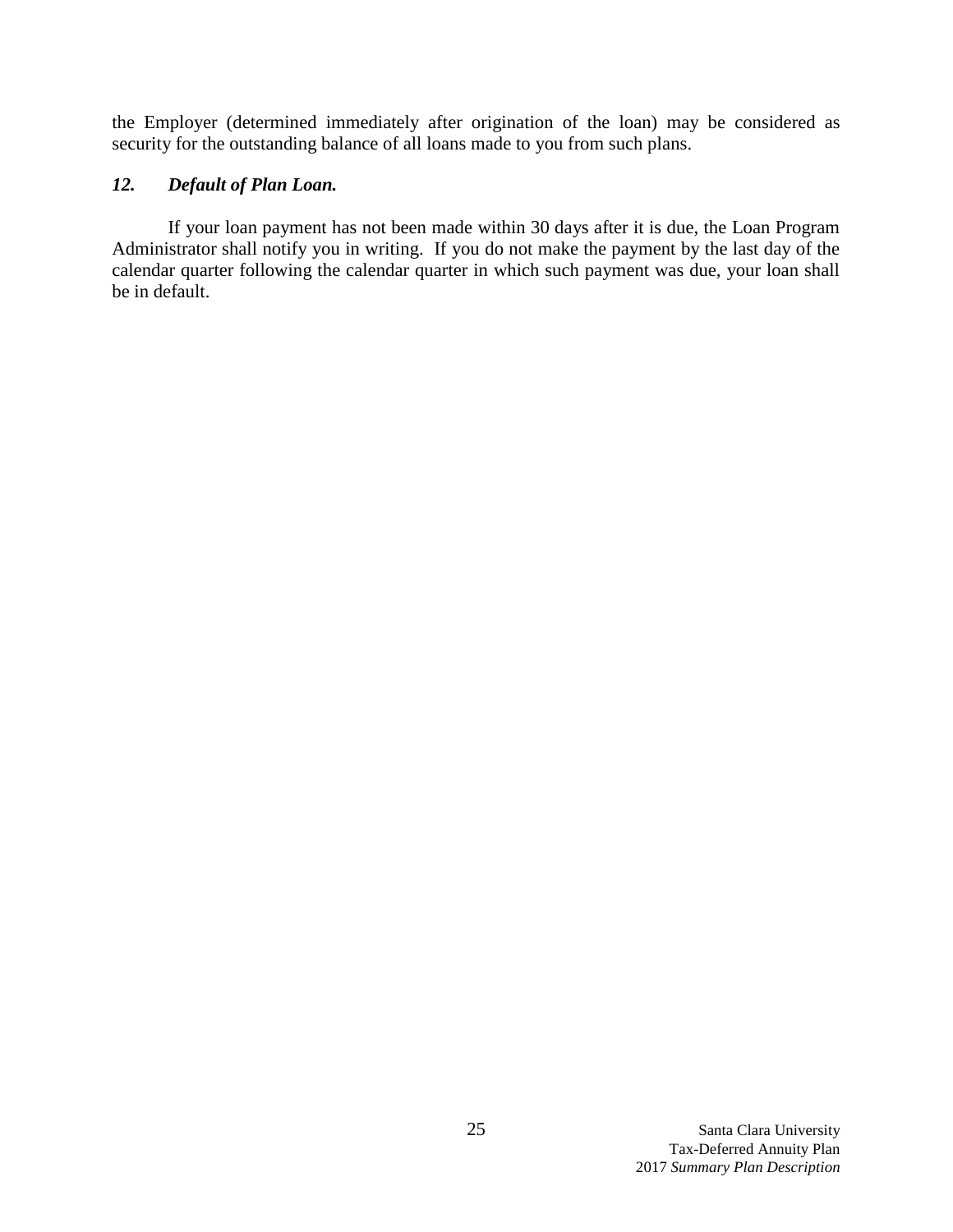the Employer (determined immediately after origination of the loan) may be considered as security for the outstanding balance of all loans made to you from such plans.

# *12. Default of Plan Loan.*

If your loan payment has not been made within 30 days after it is due, the Loan Program Administrator shall notify you in writing. If you do not make the payment by the last day of the calendar quarter following the calendar quarter in which such payment was due, your loan shall be in default.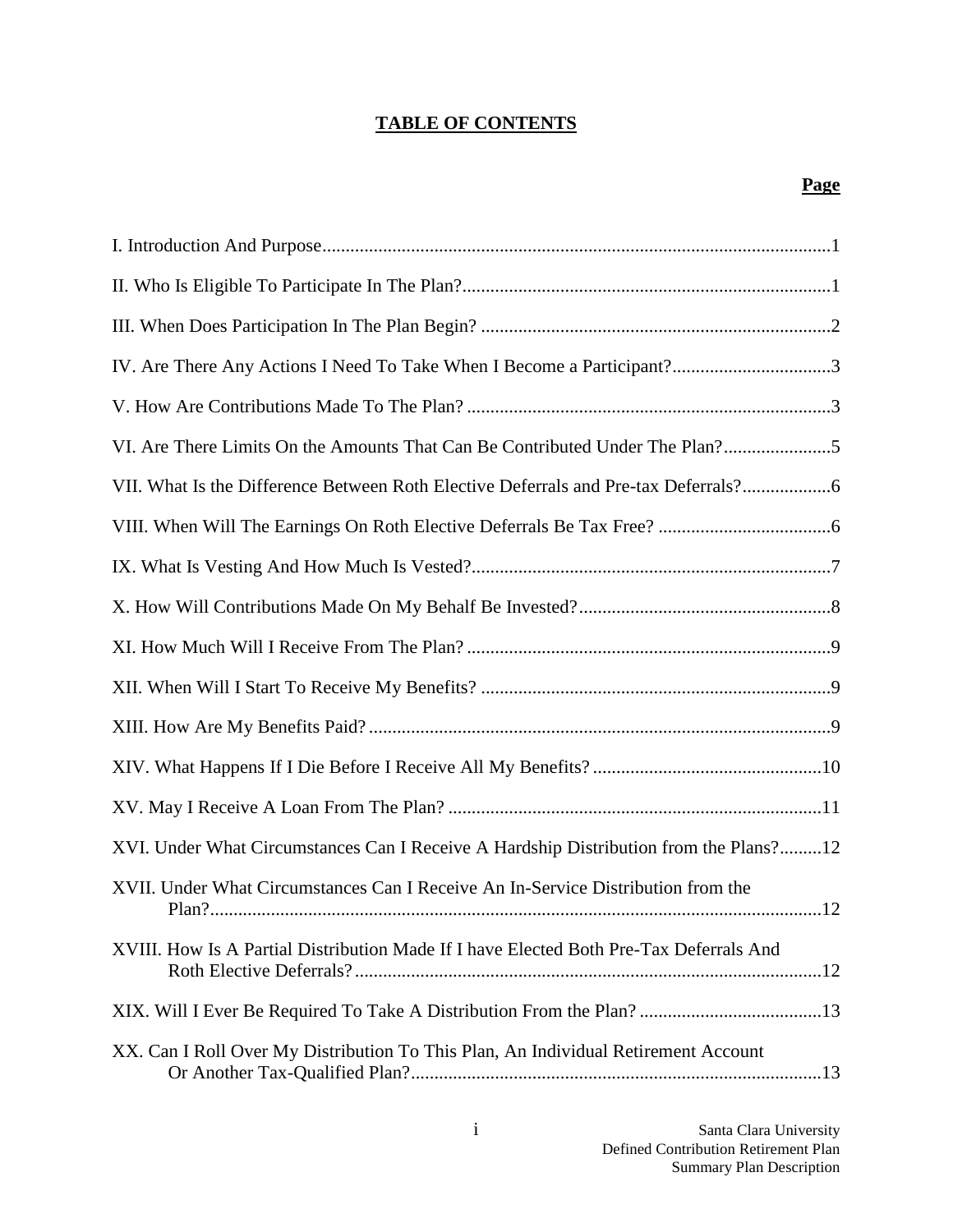# **TABLE OF CONTENTS**

# **Page**

| IV. Are There Any Actions I Need To Take When I Become a Participant?3                 |
|----------------------------------------------------------------------------------------|
|                                                                                        |
| VI. Are There Limits On the Amounts That Can Be Contributed Under The Plan?5           |
| VII. What Is the Difference Between Roth Elective Deferrals and Pre-tax Deferrals?     |
|                                                                                        |
|                                                                                        |
|                                                                                        |
|                                                                                        |
|                                                                                        |
|                                                                                        |
|                                                                                        |
|                                                                                        |
| XVI. Under What Circumstances Can I Receive A Hardship Distribution from the Plans?12  |
| XVII. Under What Circumstances Can I Receive An In-Service Distribution from the       |
| XVIII. How Is A Partial Distribution Made If I have Elected Both Pre-Tax Deferrals And |
|                                                                                        |
| XX. Can I Roll Over My Distribution To This Plan, An Individual Retirement Account     |